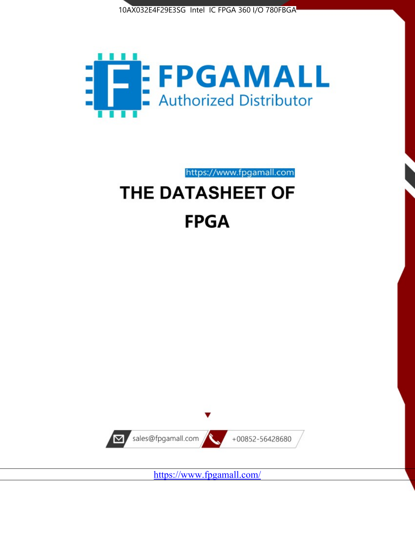



https://www.fpgamall.com

# THE DATASHEET OF **FPGA**



<https://www.fpgamall.com/>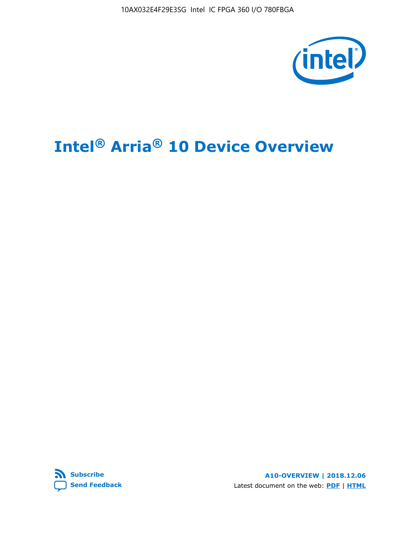10AX032E4F29E3SG Intel IC FPGA 360 I/O 780FBGA



# **Intel® Arria® 10 Device Overview**



**A10-OVERVIEW | 2018.12.06** Latest document on the web: **[PDF](https://www.intel.com/content/dam/www/programmable/us/en/pdfs/literature/hb/arria-10/a10_overview.pdf)** | **[HTML](https://www.intel.com/content/www/us/en/programmable/documentation/sam1403480274650.html)**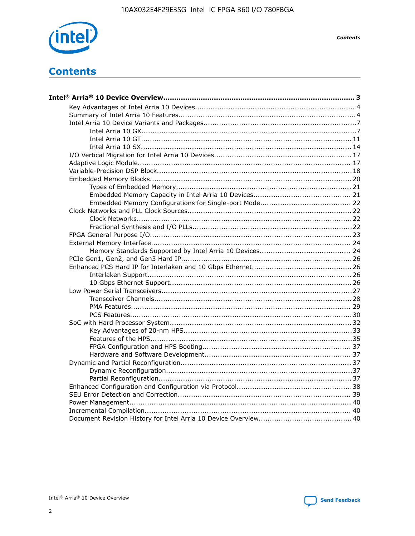

**Contents** 

# **Contents**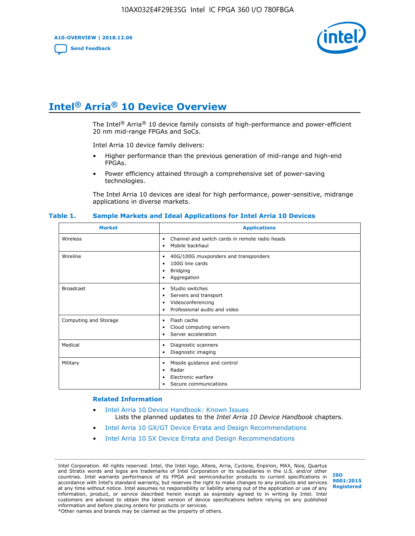**A10-OVERVIEW | 2018.12.06**

**[Send Feedback](mailto:FPGAtechdocfeedback@intel.com?subject=Feedback%20on%20Intel%20Arria%2010%20Device%20Overview%20(A10-OVERVIEW%202018.12.06)&body=We%20appreciate%20your%20feedback.%20In%20your%20comments,%20also%20specify%20the%20page%20number%20or%20paragraph.%20Thank%20you.)**



# **Intel® Arria® 10 Device Overview**

The Intel<sup>®</sup> Arria<sup>®</sup> 10 device family consists of high-performance and power-efficient 20 nm mid-range FPGAs and SoCs.

Intel Arria 10 device family delivers:

- Higher performance than the previous generation of mid-range and high-end FPGAs.
- Power efficiency attained through a comprehensive set of power-saving technologies.

The Intel Arria 10 devices are ideal for high performance, power-sensitive, midrange applications in diverse markets.

| <b>Market</b>         | <b>Applications</b>                                                                                               |
|-----------------------|-------------------------------------------------------------------------------------------------------------------|
| Wireless              | Channel and switch cards in remote radio heads<br>٠<br>Mobile backhaul<br>٠                                       |
| Wireline              | 40G/100G muxponders and transponders<br>٠<br>100G line cards<br>٠<br><b>Bridging</b><br>٠<br>Aggregation<br>٠     |
| <b>Broadcast</b>      | Studio switches<br>٠<br>Servers and transport<br>٠<br>Videoconferencing<br>٠<br>Professional audio and video<br>٠ |
| Computing and Storage | Flash cache<br>٠<br>Cloud computing servers<br>٠<br>Server acceleration<br>٠                                      |
| Medical               | Diagnostic scanners<br>٠<br>Diagnostic imaging<br>٠                                                               |
| Military              | Missile guidance and control<br>٠<br>Radar<br>٠<br>Electronic warfare<br>٠<br>Secure communications<br>٠          |

#### **Table 1. Sample Markets and Ideal Applications for Intel Arria 10 Devices**

#### **Related Information**

- [Intel Arria 10 Device Handbook: Known Issues](http://www.altera.com/support/kdb/solutions/rd07302013_646.html) Lists the planned updates to the *Intel Arria 10 Device Handbook* chapters.
- [Intel Arria 10 GX/GT Device Errata and Design Recommendations](https://www.intel.com/content/www/us/en/programmable/documentation/agz1493851706374.html#yqz1494433888646)
- [Intel Arria 10 SX Device Errata and Design Recommendations](https://www.intel.com/content/www/us/en/programmable/documentation/cru1462832385668.html#cru1462832558642)

Intel Corporation. All rights reserved. Intel, the Intel logo, Altera, Arria, Cyclone, Enpirion, MAX, Nios, Quartus and Stratix words and logos are trademarks of Intel Corporation or its subsidiaries in the U.S. and/or other countries. Intel warrants performance of its FPGA and semiconductor products to current specifications in accordance with Intel's standard warranty, but reserves the right to make changes to any products and services at any time without notice. Intel assumes no responsibility or liability arising out of the application or use of any information, product, or service described herein except as expressly agreed to in writing by Intel. Intel customers are advised to obtain the latest version of device specifications before relying on any published information and before placing orders for products or services. \*Other names and brands may be claimed as the property of others.

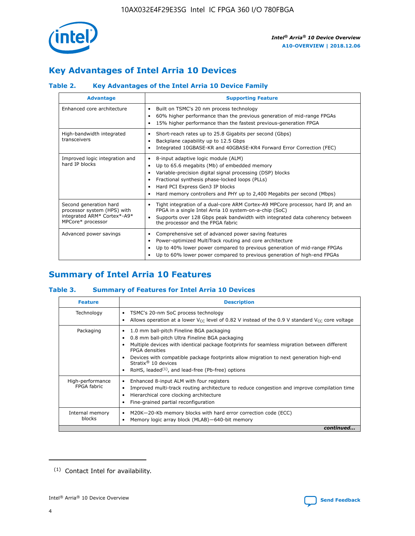

# **Key Advantages of Intel Arria 10 Devices**

# **Table 2. Key Advantages of the Intel Arria 10 Device Family**

| <b>Advantage</b>                                                                                          | <b>Supporting Feature</b>                                                                                                                                                                                                                                                                                                |
|-----------------------------------------------------------------------------------------------------------|--------------------------------------------------------------------------------------------------------------------------------------------------------------------------------------------------------------------------------------------------------------------------------------------------------------------------|
| Enhanced core architecture                                                                                | Built on TSMC's 20 nm process technology<br>٠<br>60% higher performance than the previous generation of mid-range FPGAs<br>٠<br>15% higher performance than the fastest previous-generation FPGA<br>٠                                                                                                                    |
| High-bandwidth integrated<br>transceivers                                                                 | Short-reach rates up to 25.8 Gigabits per second (Gbps)<br>٠<br>Backplane capability up to 12.5 Gbps<br>٠<br>Integrated 10GBASE-KR and 40GBASE-KR4 Forward Error Correction (FEC)<br>٠                                                                                                                                   |
| Improved logic integration and<br>hard IP blocks                                                          | 8-input adaptive logic module (ALM)<br>٠<br>Up to 65.6 megabits (Mb) of embedded memory<br>٠<br>Variable-precision digital signal processing (DSP) blocks<br>Fractional synthesis phase-locked loops (PLLs)<br>Hard PCI Express Gen3 IP blocks<br>Hard memory controllers and PHY up to 2,400 Megabits per second (Mbps) |
| Second generation hard<br>processor system (HPS) with<br>integrated ARM* Cortex*-A9*<br>MPCore* processor | Tight integration of a dual-core ARM Cortex-A9 MPCore processor, hard IP, and an<br>٠<br>FPGA in a single Intel Arria 10 system-on-a-chip (SoC)<br>Supports over 128 Gbps peak bandwidth with integrated data coherency between<br>$\bullet$<br>the processor and the FPGA fabric                                        |
| Advanced power savings                                                                                    | Comprehensive set of advanced power saving features<br>٠<br>Power-optimized MultiTrack routing and core architecture<br>٠<br>Up to 40% lower power compared to previous generation of mid-range FPGAs<br>٠<br>Up to 60% lower power compared to previous generation of high-end FPGAs                                    |

# **Summary of Intel Arria 10 Features**

## **Table 3. Summary of Features for Intel Arria 10 Devices**

| <b>Feature</b>                  | <b>Description</b>                                                                                                                                                                                                                                                                                                                                                                                       |
|---------------------------------|----------------------------------------------------------------------------------------------------------------------------------------------------------------------------------------------------------------------------------------------------------------------------------------------------------------------------------------------------------------------------------------------------------|
| Technology                      | TSMC's 20-nm SoC process technology<br>٠<br>Allows operation at a lower $V_{\text{CC}}$ level of 0.82 V instead of the 0.9 V standard $V_{\text{CC}}$ core voltage                                                                                                                                                                                                                                       |
| Packaging                       | 1.0 mm ball-pitch Fineline BGA packaging<br>0.8 mm ball-pitch Ultra Fineline BGA packaging<br>Multiple devices with identical package footprints for seamless migration between different<br><b>FPGA</b> densities<br>Devices with compatible package footprints allow migration to next generation high-end<br>Stratix $\mathcal{R}$ 10 devices<br>RoHS, leaded $(1)$ , and lead-free (Pb-free) options |
| High-performance<br>FPGA fabric | Enhanced 8-input ALM with four registers<br>٠<br>Improved multi-track routing architecture to reduce congestion and improve compilation time<br>Hierarchical core clocking architecture<br>Fine-grained partial reconfiguration                                                                                                                                                                          |
| Internal memory<br>blocks       | M20K-20-Kb memory blocks with hard error correction code (ECC)<br>Memory logic array block (MLAB)-640-bit memory                                                                                                                                                                                                                                                                                         |
|                                 | continued                                                                                                                                                                                                                                                                                                                                                                                                |



<sup>(1)</sup> Contact Intel for availability.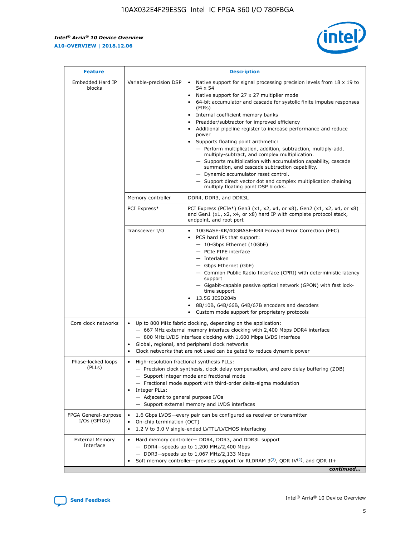$\mathsf{r}$ 



| <b>Feature</b>                         |                                                                                                                | <b>Description</b>                                                                                                                                                                                                                                                                                                                                                                                                                                                                                                                                                                                                                                                                                                                                                                                                                          |  |  |  |  |  |
|----------------------------------------|----------------------------------------------------------------------------------------------------------------|---------------------------------------------------------------------------------------------------------------------------------------------------------------------------------------------------------------------------------------------------------------------------------------------------------------------------------------------------------------------------------------------------------------------------------------------------------------------------------------------------------------------------------------------------------------------------------------------------------------------------------------------------------------------------------------------------------------------------------------------------------------------------------------------------------------------------------------------|--|--|--|--|--|
| Embedded Hard IP<br>blocks             | Variable-precision DSP                                                                                         | Native support for signal processing precision levels from $18 \times 19$ to<br>$\bullet$<br>54 x 54<br>Native support for 27 x 27 multiplier mode<br>64-bit accumulator and cascade for systolic finite impulse responses<br>(FIRS)<br>Internal coefficient memory banks<br>٠<br>Preadder/subtractor for improved efficiency<br>Additional pipeline register to increase performance and reduce<br>power<br>Supports floating point arithmetic:<br>- Perform multiplication, addition, subtraction, multiply-add,<br>multiply-subtract, and complex multiplication.<br>- Supports multiplication with accumulation capability, cascade<br>summation, and cascade subtraction capability.<br>- Dynamic accumulator reset control.<br>- Support direct vector dot and complex multiplication chaining<br>multiply floating point DSP blocks. |  |  |  |  |  |
|                                        | Memory controller                                                                                              | DDR4, DDR3, and DDR3L                                                                                                                                                                                                                                                                                                                                                                                                                                                                                                                                                                                                                                                                                                                                                                                                                       |  |  |  |  |  |
|                                        | PCI Express*                                                                                                   | PCI Express (PCIe*) Gen3 (x1, x2, x4, or x8), Gen2 (x1, x2, x4, or x8)<br>and Gen1 (x1, x2, x4, or x8) hard IP with complete protocol stack,<br>endpoint, and root port                                                                                                                                                                                                                                                                                                                                                                                                                                                                                                                                                                                                                                                                     |  |  |  |  |  |
|                                        | Transceiver I/O                                                                                                | 10GBASE-KR/40GBASE-KR4 Forward Error Correction (FEC)<br>PCS hard IPs that support:<br>- 10-Gbps Ethernet (10GbE)<br>- PCIe PIPE interface<br>- Interlaken<br>- Gbps Ethernet (GbE)<br>- Common Public Radio Interface (CPRI) with deterministic latency<br>support<br>- Gigabit-capable passive optical network (GPON) with fast lock-<br>time support<br>13.5G JESD204b<br>8B/10B, 64B/66B, 64B/67B encoders and decoders<br>Custom mode support for proprietary protocols                                                                                                                                                                                                                                                                                                                                                                |  |  |  |  |  |
| Core clock networks                    | $\bullet$                                                                                                      | Up to 800 MHz fabric clocking, depending on the application:<br>- 667 MHz external memory interface clocking with 2,400 Mbps DDR4 interface<br>- 800 MHz LVDS interface clocking with 1,600 Mbps LVDS interface<br>Global, regional, and peripheral clock networks<br>Clock networks that are not used can be gated to reduce dynamic power                                                                                                                                                                                                                                                                                                                                                                                                                                                                                                 |  |  |  |  |  |
| Phase-locked loops<br>(PLLs)           | High-resolution fractional synthesis PLLs:<br>$\bullet$<br>Integer PLLs:<br>- Adjacent to general purpose I/Os | - Precision clock synthesis, clock delay compensation, and zero delay buffering (ZDB)<br>- Support integer mode and fractional mode<br>- Fractional mode support with third-order delta-sigma modulation<br>- Support external memory and LVDS interfaces                                                                                                                                                                                                                                                                                                                                                                                                                                                                                                                                                                                   |  |  |  |  |  |
| FPGA General-purpose<br>$I/Os$ (GPIOs) | $\bullet$                                                                                                      | 1.6 Gbps LVDS-every pair can be configured as receiver or transmitter<br>On-chip termination (OCT)<br>1.2 V to 3.0 V single-ended LVTTL/LVCMOS interfacing                                                                                                                                                                                                                                                                                                                                                                                                                                                                                                                                                                                                                                                                                  |  |  |  |  |  |
| <b>External Memory</b><br>Interface    |                                                                                                                | Hard memory controller- DDR4, DDR3, and DDR3L support<br>$-$ DDR4-speeds up to 1,200 MHz/2,400 Mbps<br>- DDR3-speeds up to 1,067 MHz/2,133 Mbps<br>Soft memory controller—provides support for RLDRAM $3^{(2)}$ , QDR IV $(2)$ , and QDR II+<br>continued                                                                                                                                                                                                                                                                                                                                                                                                                                                                                                                                                                                   |  |  |  |  |  |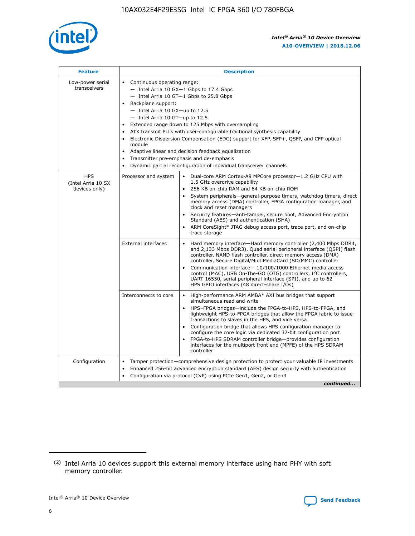

| <b>Feature</b>                                    | <b>Description</b>                                                                                                                                                                                                                                                                                                                                                                                                                                                                                                                                                                                                                                                        |
|---------------------------------------------------|---------------------------------------------------------------------------------------------------------------------------------------------------------------------------------------------------------------------------------------------------------------------------------------------------------------------------------------------------------------------------------------------------------------------------------------------------------------------------------------------------------------------------------------------------------------------------------------------------------------------------------------------------------------------------|
| Low-power serial<br>transceivers                  | • Continuous operating range:<br>- Intel Arria 10 GX-1 Gbps to 17.4 Gbps<br>$-$ Intel Arria 10 GT $-1$ Gbps to 25.8 Gbps<br>Backplane support:<br>$\bullet$<br>$-$ Intel Arria 10 GX-up to 12.5<br>$-$ Intel Arria 10 GT-up to 12.5<br>Extended range down to 125 Mbps with oversampling<br>ATX transmit PLLs with user-configurable fractional synthesis capability<br>Electronic Dispersion Compensation (EDC) support for XFP, SFP+, OSFP, and CFP optical<br>module<br>Adaptive linear and decision feedback equalization<br>$\bullet$<br>Transmitter pre-emphasis and de-emphasis<br>$\bullet$<br>Dynamic partial reconfiguration of individual transceiver channels |
| <b>HPS</b><br>(Intel Arria 10 SX<br>devices only) | Dual-core ARM Cortex-A9 MPCore processor-1.2 GHz CPU with<br>Processor and system<br>$\bullet$<br>1.5 GHz overdrive capability<br>256 KB on-chip RAM and 64 KB on-chip ROM<br>System peripherals-general-purpose timers, watchdog timers, direct<br>memory access (DMA) controller, FPGA configuration manager, and<br>clock and reset managers<br>• Security features—anti-tamper, secure boot, Advanced Encryption<br>Standard (AES) and authentication (SHA)<br>ARM CoreSight* JTAG debug access port, trace port, and on-chip<br>$\bullet$<br>trace storage                                                                                                           |
|                                                   | <b>External interfaces</b><br>Hard memory interface—Hard memory controller (2,400 Mbps DDR4,<br>and 2,133 Mbps DDR3), Quad serial peripheral interface (QSPI) flash<br>controller, NAND flash controller, direct memory access (DMA)<br>controller, Secure Digital/MultiMediaCard (SD/MMC) controller<br>Communication interface-10/100/1000 Ethernet media access<br>$\bullet$<br>control (MAC), USB On-The-GO (OTG) controllers, I <sup>2</sup> C controllers,<br>UART 16550, serial peripheral interface (SPI), and up to 62<br>HPS GPIO interfaces (48 direct-share I/Os)                                                                                             |
|                                                   | Interconnects to core<br>• High-performance ARM AMBA* AXI bus bridges that support<br>simultaneous read and write<br>HPS-FPGA bridges-include the FPGA-to-HPS, HPS-to-FPGA, and<br>$\bullet$<br>lightweight HPS-to-FPGA bridges that allow the FPGA fabric to issue<br>transactions to slaves in the HPS, and vice versa<br>Configuration bridge that allows HPS configuration manager to<br>configure the core logic via dedicated 32-bit configuration port<br>FPGA-to-HPS SDRAM controller bridge-provides configuration<br>interfaces for the multiport front end (MPFE) of the HPS SDRAM<br>controller                                                               |
| Configuration                                     | Tamper protection—comprehensive design protection to protect your valuable IP investments<br>Enhanced 256-bit advanced encryption standard (AES) design security with authentication<br>$\bullet$<br>Configuration via protocol (CvP) using PCIe Gen1, Gen2, or Gen3<br>continued                                                                                                                                                                                                                                                                                                                                                                                         |

<sup>(2)</sup> Intel Arria 10 devices support this external memory interface using hard PHY with soft memory controller.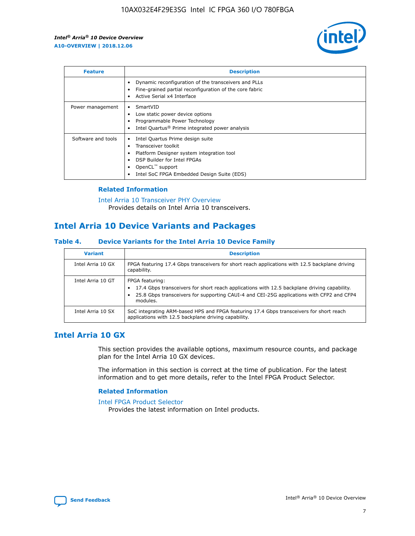

| <b>Feature</b>     | <b>Description</b>                                                                                                                                                                                               |
|--------------------|------------------------------------------------------------------------------------------------------------------------------------------------------------------------------------------------------------------|
|                    | Dynamic reconfiguration of the transceivers and PLLs<br>Fine-grained partial reconfiguration of the core fabric<br>Active Serial x4 Interface<br>$\bullet$                                                       |
| Power management   | SmartVID<br>Low static power device options<br>Programmable Power Technology<br>Intel Quartus <sup>®</sup> Prime integrated power analysis                                                                       |
| Software and tools | Intel Quartus Prime design suite<br>Transceiver toolkit<br>Platform Designer system integration tool<br>DSP Builder for Intel FPGAs<br>OpenCL <sup>™</sup> support<br>Intel SoC FPGA Embedded Design Suite (EDS) |

## **Related Information**

[Intel Arria 10 Transceiver PHY Overview](https://www.intel.com/content/www/us/en/programmable/documentation/nik1398707230472.html#nik1398706768037) Provides details on Intel Arria 10 transceivers.

# **Intel Arria 10 Device Variants and Packages**

#### **Table 4. Device Variants for the Intel Arria 10 Device Family**

| <b>Variant</b>    | <b>Description</b>                                                                                                                                                                                                     |
|-------------------|------------------------------------------------------------------------------------------------------------------------------------------------------------------------------------------------------------------------|
| Intel Arria 10 GX | FPGA featuring 17.4 Gbps transceivers for short reach applications with 12.5 backplane driving<br>capability.                                                                                                          |
| Intel Arria 10 GT | FPGA featuring:<br>17.4 Gbps transceivers for short reach applications with 12.5 backplane driving capability.<br>25.8 Gbps transceivers for supporting CAUI-4 and CEI-25G applications with CFP2 and CFP4<br>modules. |
| Intel Arria 10 SX | SoC integrating ARM-based HPS and FPGA featuring 17.4 Gbps transceivers for short reach<br>applications with 12.5 backplane driving capability.                                                                        |

# **Intel Arria 10 GX**

This section provides the available options, maximum resource counts, and package plan for the Intel Arria 10 GX devices.

The information in this section is correct at the time of publication. For the latest information and to get more details, refer to the Intel FPGA Product Selector.

#### **Related Information**

#### [Intel FPGA Product Selector](http://www.altera.com/products/selector/psg-selector.html) Provides the latest information on Intel products.

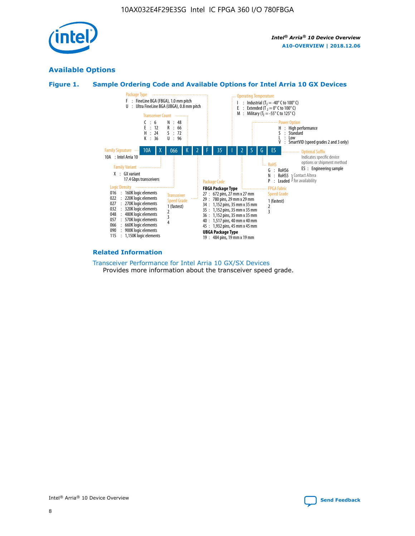

# **Available Options**





#### **Related Information**

[Transceiver Performance for Intel Arria 10 GX/SX Devices](https://www.intel.com/content/www/us/en/programmable/documentation/mcn1413182292568.html#mcn1413213965502) Provides more information about the transceiver speed grade.

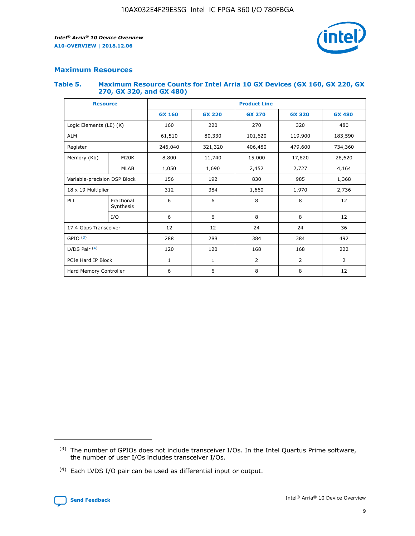

## **Maximum Resources**

#### **Table 5. Maximum Resource Counts for Intel Arria 10 GX Devices (GX 160, GX 220, GX 270, GX 320, and GX 480)**

| <b>Resource</b>              |                         | <b>Product Line</b> |                                                 |                |                |               |  |  |  |
|------------------------------|-------------------------|---------------------|-------------------------------------------------|----------------|----------------|---------------|--|--|--|
|                              |                         | <b>GX 160</b>       | <b>GX 220</b><br><b>GX 270</b><br><b>GX 320</b> |                |                | <b>GX 480</b> |  |  |  |
| Logic Elements (LE) (K)      |                         | 160                 | 220                                             | 270            | 320            | 480           |  |  |  |
| <b>ALM</b>                   |                         | 61,510              | 80,330                                          | 101,620        | 119,900        | 183,590       |  |  |  |
| Register                     |                         | 246,040             | 321,320<br>406,480                              |                | 479,600        | 734,360       |  |  |  |
| Memory (Kb)                  | M <sub>20</sub> K       | 8,800               | 11,740                                          | 15,000         | 17,820         | 28,620        |  |  |  |
|                              | <b>MLAB</b>             | 1,050               | 1,690                                           | 2,452          | 2,727          | 4,164         |  |  |  |
| Variable-precision DSP Block |                         | 156                 | 192                                             | 830<br>985     |                | 1,368         |  |  |  |
|                              | 18 x 19 Multiplier      |                     | 384                                             | 1,970<br>1,660 |                | 2,736         |  |  |  |
| PLL                          | Fractional<br>Synthesis | 6                   | 6                                               | 8              | 8              | 12            |  |  |  |
|                              | I/O                     | 6                   | 6                                               | 8              | 8              | 12            |  |  |  |
| 17.4 Gbps Transceiver        |                         | 12                  | 12                                              | 24             | 24             | 36            |  |  |  |
| GPIO <sup>(3)</sup>          |                         | 288                 | 288                                             | 384            | 384            |               |  |  |  |
| LVDS Pair $(4)$              |                         | 120                 | 120                                             | 168            | 168            | 222           |  |  |  |
| PCIe Hard IP Block           |                         | 1                   | 1                                               | $\overline{2}$ | $\overline{2}$ | 2             |  |  |  |
| Hard Memory Controller       |                         | 6                   | 6                                               | 8              | 8              | 12            |  |  |  |

<sup>(4)</sup> Each LVDS I/O pair can be used as differential input or output.



<sup>(3)</sup> The number of GPIOs does not include transceiver I/Os. In the Intel Quartus Prime software, the number of user I/Os includes transceiver I/Os.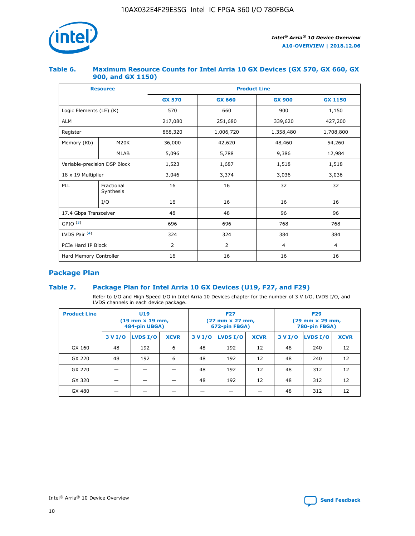

## **Table 6. Maximum Resource Counts for Intel Arria 10 GX Devices (GX 570, GX 660, GX 900, and GX 1150)**

|                              | <b>Resource</b>         | <b>Product Line</b> |               |                |                |  |  |  |
|------------------------------|-------------------------|---------------------|---------------|----------------|----------------|--|--|--|
|                              |                         | <b>GX 570</b>       | <b>GX 660</b> | <b>GX 900</b>  | <b>GX 1150</b> |  |  |  |
| Logic Elements (LE) (K)      |                         | 570                 | 660           | 900            | 1,150          |  |  |  |
| <b>ALM</b>                   |                         | 217,080             | 251,680       | 339,620        | 427,200        |  |  |  |
| Register                     |                         | 868,320             | 1,006,720     | 1,358,480      | 1,708,800      |  |  |  |
| Memory (Kb)                  | <b>M20K</b>             | 36,000              | 42,620        | 48,460         | 54,260         |  |  |  |
|                              | <b>MLAB</b>             | 5,096               | 5,788         | 9,386          | 12,984         |  |  |  |
| Variable-precision DSP Block |                         | 1,523               | 1,687         | 1,518          | 1,518          |  |  |  |
| $18 \times 19$ Multiplier    |                         | 3,046               | 3,374         | 3,036          | 3,036          |  |  |  |
| PLL                          | Fractional<br>Synthesis | 16                  | 16            | 32             | 32             |  |  |  |
|                              | I/O                     | 16                  | 16            | 16             | 16             |  |  |  |
| 17.4 Gbps Transceiver        |                         | 48                  | 48            |                | 96             |  |  |  |
| GPIO <sup>(3)</sup>          |                         | 696                 | 696           | 768            | 768            |  |  |  |
| LVDS Pair $(4)$              |                         | 324                 | 324           | 384            | 384            |  |  |  |
| PCIe Hard IP Block           |                         | 2                   | 2             | $\overline{4}$ | $\overline{4}$ |  |  |  |
| Hard Memory Controller       |                         | 16                  | 16            | 16             | 16             |  |  |  |

# **Package Plan**

# **Table 7. Package Plan for Intel Arria 10 GX Devices (U19, F27, and F29)**

Refer to I/O and High Speed I/O in Intel Arria 10 Devices chapter for the number of 3 V I/O, LVDS I/O, and LVDS channels in each device package.

| <b>Product Line</b> | U <sub>19</sub><br>$(19 \text{ mm} \times 19 \text{ mm})$<br>484-pin UBGA) |          |             | <b>F27</b><br>(27 mm × 27 mm,<br>672-pin FBGA) |                 |             | <b>F29</b><br>(29 mm × 29 mm,<br>780-pin FBGA) |          |             |  |
|---------------------|----------------------------------------------------------------------------|----------|-------------|------------------------------------------------|-----------------|-------------|------------------------------------------------|----------|-------------|--|
|                     | 3 V I/O                                                                    | LVDS I/O | <b>XCVR</b> | 3 V I/O                                        | <b>LVDS I/O</b> | <b>XCVR</b> | 3 V I/O                                        | LVDS I/O | <b>XCVR</b> |  |
| GX 160              | 48                                                                         | 192      | 6           | 48                                             | 192             | 12          | 48                                             | 240      | 12          |  |
| GX 220              | 48                                                                         | 192      | 6           | 48                                             | 192             | 12          | 48                                             | 240      | 12          |  |
| GX 270              |                                                                            |          |             | 48                                             | 192             | 12          | 48                                             | 312      | 12          |  |
| GX 320              |                                                                            |          |             | 48                                             | 192             | 12          | 48                                             | 312      | 12          |  |
| GX 480              |                                                                            |          |             |                                                |                 |             | 48                                             | 312      | 12          |  |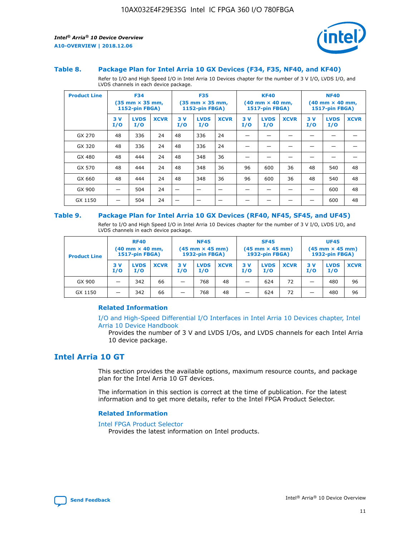

#### **Table 8. Package Plan for Intel Arria 10 GX Devices (F34, F35, NF40, and KF40)**

Refer to I/O and High Speed I/O in Intel Arria 10 Devices chapter for the number of 3 V I/O, LVDS I/O, and LVDS channels in each device package.

| <b>Product Line</b> | <b>F34</b><br>(35 mm × 35 mm,<br><b>1152-pin FBGA)</b> |                    | <b>F35</b><br>$(35$ mm $\times$ 35 mm,<br><b>1152-pin FBGA)</b> |           | <b>KF40</b><br>$(40 \text{ mm} \times 40 \text{ mm})$<br>1517-pin FBGA) |             |           | <b>NF40</b><br>$(40 \text{ mm} \times 40 \text{ mm})$<br><b>1517-pin FBGA)</b> |             |           |                    |             |
|---------------------|--------------------------------------------------------|--------------------|-----------------------------------------------------------------|-----------|-------------------------------------------------------------------------|-------------|-----------|--------------------------------------------------------------------------------|-------------|-----------|--------------------|-------------|
|                     | 3V<br>I/O                                              | <b>LVDS</b><br>I/O | <b>XCVR</b>                                                     | 3V<br>I/O | <b>LVDS</b><br>I/O                                                      | <b>XCVR</b> | 3V<br>I/O | <b>LVDS</b><br>I/O                                                             | <b>XCVR</b> | 3V<br>I/O | <b>LVDS</b><br>I/O | <b>XCVR</b> |
| GX 270              | 48                                                     | 336                | 24                                                              | 48        | 336                                                                     | 24          |           |                                                                                |             |           |                    |             |
| GX 320              | 48                                                     | 336                | 24                                                              | 48        | 336                                                                     | 24          |           |                                                                                |             |           |                    |             |
| GX 480              | 48                                                     | 444                | 24                                                              | 48        | 348                                                                     | 36          |           |                                                                                |             |           |                    |             |
| GX 570              | 48                                                     | 444                | 24                                                              | 48        | 348                                                                     | 36          | 96        | 600                                                                            | 36          | 48        | 540                | 48          |
| GX 660              | 48                                                     | 444                | 24                                                              | 48        | 348                                                                     | 36          | 96        | 600                                                                            | 36          | 48        | 540                | 48          |
| GX 900              |                                                        | 504                | 24                                                              | -         |                                                                         | -           |           |                                                                                |             |           | 600                | 48          |
| GX 1150             |                                                        | 504                | 24                                                              |           |                                                                         |             |           |                                                                                |             |           | 600                | 48          |

#### **Table 9. Package Plan for Intel Arria 10 GX Devices (RF40, NF45, SF45, and UF45)**

Refer to I/O and High Speed I/O in Intel Arria 10 Devices chapter for the number of 3 V I/O, LVDS I/O, and LVDS channels in each device package.

| <b>Product Line</b> | <b>RF40</b><br>$(40$ mm $\times$ 40 mm,<br>1517-pin FBGA) |                    |             | <b>NF45</b><br>$(45 \text{ mm} \times 45 \text{ mm})$<br><b>1932-pin FBGA)</b> |                    |             | <b>SF45</b><br>$(45 \text{ mm} \times 45 \text{ mm})$<br><b>1932-pin FBGA)</b> |                    |             | <b>UF45</b><br>$(45 \text{ mm} \times 45 \text{ mm})$<br><b>1932-pin FBGA)</b> |                    |             |
|---------------------|-----------------------------------------------------------|--------------------|-------------|--------------------------------------------------------------------------------|--------------------|-------------|--------------------------------------------------------------------------------|--------------------|-------------|--------------------------------------------------------------------------------|--------------------|-------------|
|                     | 3V<br>I/O                                                 | <b>LVDS</b><br>I/O | <b>XCVR</b> | 3 V<br>I/O                                                                     | <b>LVDS</b><br>I/O | <b>XCVR</b> | 3 V<br>I/O                                                                     | <b>LVDS</b><br>I/O | <b>XCVR</b> | 3V<br>I/O                                                                      | <b>LVDS</b><br>I/O | <b>XCVR</b> |
| GX 900              |                                                           | 342                | 66          | _                                                                              | 768                | 48          |                                                                                | 624                | 72          |                                                                                | 480                | 96          |
| GX 1150             |                                                           | 342                | 66          | _                                                                              | 768                | 48          |                                                                                | 624                | 72          |                                                                                | 480                | 96          |

## **Related Information**

[I/O and High-Speed Differential I/O Interfaces in Intel Arria 10 Devices chapter, Intel](https://www.intel.com/content/www/us/en/programmable/documentation/sam1403482614086.html#sam1403482030321) [Arria 10 Device Handbook](https://www.intel.com/content/www/us/en/programmable/documentation/sam1403482614086.html#sam1403482030321)

Provides the number of 3 V and LVDS I/Os, and LVDS channels for each Intel Arria 10 device package.

# **Intel Arria 10 GT**

This section provides the available options, maximum resource counts, and package plan for the Intel Arria 10 GT devices.

The information in this section is correct at the time of publication. For the latest information and to get more details, refer to the Intel FPGA Product Selector.

#### **Related Information**

#### [Intel FPGA Product Selector](http://www.altera.com/products/selector/psg-selector.html)

Provides the latest information on Intel products.

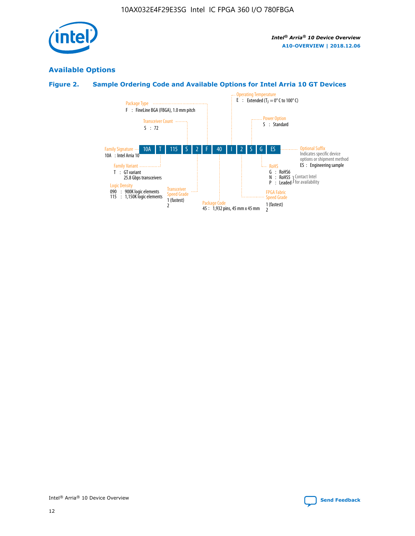

# **Available Options**

# **Figure 2. Sample Ordering Code and Available Options for Intel Arria 10 GT Devices**

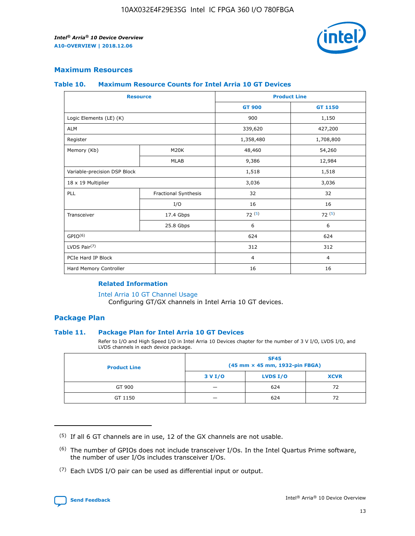

## **Maximum Resources**

#### **Table 10. Maximum Resource Counts for Intel Arria 10 GT Devices**

| <b>Resource</b>              |                      |                | <b>Product Line</b> |  |
|------------------------------|----------------------|----------------|---------------------|--|
|                              |                      | <b>GT 900</b>  | GT 1150             |  |
| Logic Elements (LE) (K)      |                      | 900            | 1,150               |  |
| <b>ALM</b>                   |                      | 339,620        | 427,200             |  |
| Register                     |                      | 1,358,480      | 1,708,800           |  |
| Memory (Kb)                  | M20K                 | 48,460         | 54,260              |  |
|                              | <b>MLAB</b>          | 9,386          | 12,984              |  |
| Variable-precision DSP Block |                      | 1,518          | 1,518               |  |
| 18 x 19 Multiplier           |                      | 3,036          | 3,036               |  |
| PLL                          | Fractional Synthesis | 32             | 32                  |  |
|                              | I/O                  | 16             | 16                  |  |
| Transceiver                  | 17.4 Gbps            | 72(5)          | 72(5)               |  |
|                              | 25.8 Gbps            | 6              | 6                   |  |
| GPIO <sup>(6)</sup>          |                      | 624            | 624                 |  |
| LVDS Pair $(7)$              |                      | 312            | 312                 |  |
| PCIe Hard IP Block           |                      | $\overline{4}$ | $\overline{4}$      |  |
| Hard Memory Controller       |                      | 16             | 16                  |  |

#### **Related Information**

#### [Intel Arria 10 GT Channel Usage](https://www.intel.com/content/www/us/en/programmable/documentation/nik1398707230472.html#nik1398707008178)

Configuring GT/GX channels in Intel Arria 10 GT devices.

## **Package Plan**

## **Table 11. Package Plan for Intel Arria 10 GT Devices**

Refer to I/O and High Speed I/O in Intel Arria 10 Devices chapter for the number of 3 V I/O, LVDS I/O, and LVDS channels in each device package.

| <b>Product Line</b> | <b>SF45</b><br>(45 mm × 45 mm, 1932-pin FBGA) |                 |             |  |  |  |
|---------------------|-----------------------------------------------|-----------------|-------------|--|--|--|
|                     | 3 V I/O                                       | <b>LVDS I/O</b> | <b>XCVR</b> |  |  |  |
| GT 900              |                                               | 624             | 72          |  |  |  |
| GT 1150             |                                               | 624             | 72          |  |  |  |

<sup>(7)</sup> Each LVDS I/O pair can be used as differential input or output.



 $(5)$  If all 6 GT channels are in use, 12 of the GX channels are not usable.

<sup>(6)</sup> The number of GPIOs does not include transceiver I/Os. In the Intel Quartus Prime software, the number of user I/Os includes transceiver I/Os.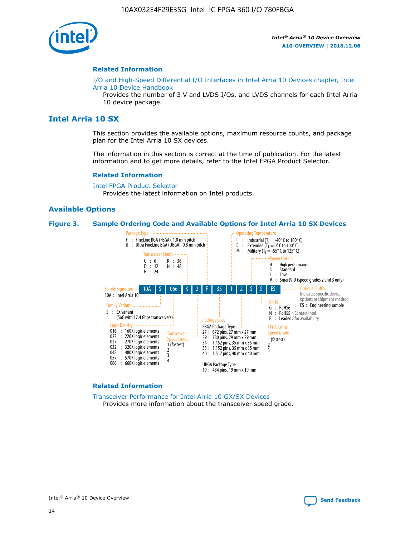

#### **Related Information**

[I/O and High-Speed Differential I/O Interfaces in Intel Arria 10 Devices chapter, Intel](https://www.intel.com/content/www/us/en/programmable/documentation/sam1403482614086.html#sam1403482030321) [Arria 10 Device Handbook](https://www.intel.com/content/www/us/en/programmable/documentation/sam1403482614086.html#sam1403482030321)

Provides the number of 3 V and LVDS I/Os, and LVDS channels for each Intel Arria 10 device package.

# **Intel Arria 10 SX**

This section provides the available options, maximum resource counts, and package plan for the Intel Arria 10 SX devices.

The information in this section is correct at the time of publication. For the latest information and to get more details, refer to the Intel FPGA Product Selector.

#### **Related Information**

[Intel FPGA Product Selector](http://www.altera.com/products/selector/psg-selector.html) Provides the latest information on Intel products.

## **Available Options**

#### **Figure 3. Sample Ordering Code and Available Options for Intel Arria 10 SX Devices**



#### **Related Information**

[Transceiver Performance for Intel Arria 10 GX/SX Devices](https://www.intel.com/content/www/us/en/programmable/documentation/mcn1413182292568.html#mcn1413213965502) Provides more information about the transceiver speed grade.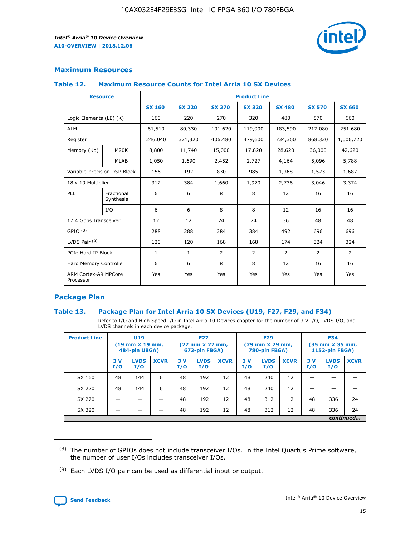

# **Maximum Resources**

#### **Table 12. Maximum Resource Counts for Intel Arria 10 SX Devices**

|                                   | <b>Resource</b>         | <b>Product Line</b> |               |                |                |                |                |                |  |  |  |
|-----------------------------------|-------------------------|---------------------|---------------|----------------|----------------|----------------|----------------|----------------|--|--|--|
|                                   |                         | <b>SX 160</b>       | <b>SX 220</b> | <b>SX 270</b>  | <b>SX 320</b>  | <b>SX 480</b>  | <b>SX 570</b>  | <b>SX 660</b>  |  |  |  |
| Logic Elements (LE) (K)           |                         | 160                 | 220           | 270            | 320            | 480            | 570            | 660            |  |  |  |
| <b>ALM</b>                        |                         | 61,510              | 80,330        | 101,620        | 119,900        | 183,590        | 217,080        | 251,680        |  |  |  |
| Register                          |                         | 246,040             | 321,320       | 406,480        | 479,600        | 734,360        | 868,320        | 1,006,720      |  |  |  |
| Memory (Kb)                       | M <sub>20</sub> K       | 8,800               | 11,740        | 15,000         | 17,820         | 28,620         | 36,000         | 42,620         |  |  |  |
|                                   | <b>MLAB</b>             | 1,050               | 1,690         | 2,452          | 2,727          | 4,164          | 5,096          | 5,788          |  |  |  |
| Variable-precision DSP Block      |                         | 156                 | 192           | 830            | 985            | 1,368          | 1,523          | 1,687          |  |  |  |
| 18 x 19 Multiplier                |                         | 312                 | 384           | 1,660          | 1,970          | 2,736          | 3,046          | 3,374          |  |  |  |
| <b>PLL</b>                        | Fractional<br>Synthesis | 6                   | 6             | 8              | 8              | 12             | 16             | 16             |  |  |  |
|                                   | I/O                     | 6                   | 6             | 8              | 8              | 12             | 16             | 16             |  |  |  |
| 17.4 Gbps Transceiver             |                         | 12                  | 12            | 24             | 24             | 36             | 48             | 48             |  |  |  |
| GPIO <sup>(8)</sup>               |                         | 288                 | 288           | 384            | 384            | 492            | 696            | 696            |  |  |  |
| LVDS Pair $(9)$                   |                         | 120                 | 120           | 168            | 168            | 174            | 324            | 324            |  |  |  |
| PCIe Hard IP Block                |                         | $\mathbf{1}$        | $\mathbf{1}$  | $\overline{2}$ | $\overline{2}$ | $\overline{2}$ | $\overline{2}$ | $\overline{2}$ |  |  |  |
| Hard Memory Controller            |                         | 6                   | 6             | 8              | 8              | 12             | 16             | 16             |  |  |  |
| ARM Cortex-A9 MPCore<br>Processor |                         | Yes                 | Yes           | Yes            | Yes            | Yes            | Yes            | Yes            |  |  |  |

# **Package Plan**

## **Table 13. Package Plan for Intel Arria 10 SX Devices (U19, F27, F29, and F34)**

Refer to I/O and High Speed I/O in Intel Arria 10 Devices chapter for the number of 3 V I/O, LVDS I/O, and LVDS channels in each device package.

| <b>Product Line</b> | <b>U19</b><br>$(19 \text{ mm} \times 19 \text{ mm})$<br>484-pin UBGA) |                    |             | <b>F27</b><br>$(27 \text{ mm} \times 27 \text{ mm})$<br>672-pin FBGA) |                    | <b>F29</b><br>$(29 \text{ mm} \times 29 \text{ mm})$<br>780-pin FBGA) |           |                    | <b>F34</b><br>$(35 \text{ mm} \times 35 \text{ mm})$<br><b>1152-pin FBGA)</b> |           |                    |             |
|---------------------|-----------------------------------------------------------------------|--------------------|-------------|-----------------------------------------------------------------------|--------------------|-----------------------------------------------------------------------|-----------|--------------------|-------------------------------------------------------------------------------|-----------|--------------------|-------------|
|                     | 3V<br>I/O                                                             | <b>LVDS</b><br>I/O | <b>XCVR</b> | 3V<br>I/O                                                             | <b>LVDS</b><br>I/O | <b>XCVR</b>                                                           | 3V<br>I/O | <b>LVDS</b><br>I/O | <b>XCVR</b>                                                                   | 3V<br>I/O | <b>LVDS</b><br>I/O | <b>XCVR</b> |
| SX 160              | 48                                                                    | 144                | 6           | 48                                                                    | 192                | 12                                                                    | 48        | 240                | 12                                                                            | -         |                    |             |
| SX 220              | 48                                                                    | 144                | 6           | 48                                                                    | 192                | 12                                                                    | 48        | 240                | 12                                                                            |           |                    |             |
| SX 270              |                                                                       |                    |             | 48                                                                    | 192                | 12                                                                    | 48        | 312                | 12                                                                            | 48        | 336                | 24          |
| SX 320              |                                                                       |                    |             | 48                                                                    | 192                | 12                                                                    | 48        | 312                | 12                                                                            | 48        | 336                | 24          |
|                     | continued                                                             |                    |             |                                                                       |                    |                                                                       |           |                    |                                                                               |           |                    |             |

 $(8)$  The number of GPIOs does not include transceiver I/Os. In the Intel Quartus Prime software, the number of user I/Os includes transceiver I/Os.

 $(9)$  Each LVDS I/O pair can be used as differential input or output.

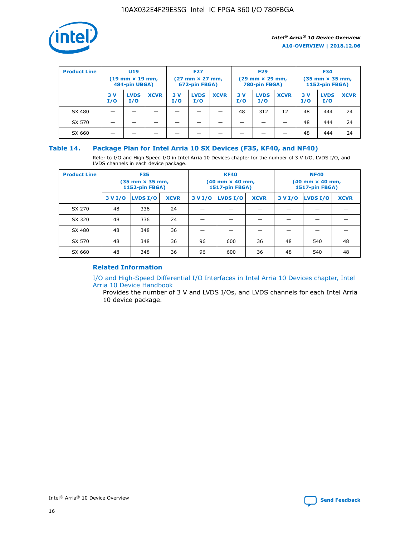

| <b>Product Line</b> | U <sub>19</sub><br>$(19 \text{ mm} \times 19 \text{ mm})$<br>484-pin UBGA) |                    | <b>F27</b><br>$(27 \text{ mm} \times 27 \text{ mm})$<br>672-pin FBGA) |            | <b>F29</b><br>$(29 \text{ mm} \times 29 \text{ mm})$<br>780-pin FBGA) |             |           | <b>F34</b><br>$(35$ mm $\times$ 35 mm,<br><b>1152-pin FBGA)</b> |             |           |                    |             |
|---------------------|----------------------------------------------------------------------------|--------------------|-----------------------------------------------------------------------|------------|-----------------------------------------------------------------------|-------------|-----------|-----------------------------------------------------------------|-------------|-----------|--------------------|-------------|
|                     | 3V<br>I/O                                                                  | <b>LVDS</b><br>I/O | <b>XCVR</b>                                                           | 3 V<br>I/O | <b>LVDS</b><br>I/O                                                    | <b>XCVR</b> | 3V<br>I/O | <b>LVDS</b><br>I/O                                              | <b>XCVR</b> | 3V<br>I/O | <b>LVDS</b><br>I/O | <b>XCVR</b> |
| SX 480              |                                                                            |                    |                                                                       |            |                                                                       |             | 48        | 312                                                             | 12          | 48        | 444                | 24          |
| SX 570              |                                                                            |                    |                                                                       |            |                                                                       |             |           |                                                                 |             | 48        | 444                | 24          |
| SX 660              |                                                                            |                    |                                                                       |            |                                                                       |             |           |                                                                 |             | 48        | 444                | 24          |

## **Table 14. Package Plan for Intel Arria 10 SX Devices (F35, KF40, and NF40)**

Refer to I/O and High Speed I/O in Intel Arria 10 Devices chapter for the number of 3 V I/O, LVDS I/O, and LVDS channels in each device package.

| <b>Product Line</b> | <b>F35</b><br>$(35 \text{ mm} \times 35 \text{ mm})$<br><b>1152-pin FBGA)</b> |          |             |                                           | <b>KF40</b><br>(40 mm × 40 mm,<br>1517-pin FBGA) |    | <b>NF40</b><br>$(40 \text{ mm} \times 40 \text{ mm})$<br>1517-pin FBGA) |          |             |  |
|---------------------|-------------------------------------------------------------------------------|----------|-------------|-------------------------------------------|--------------------------------------------------|----|-------------------------------------------------------------------------|----------|-------------|--|
|                     | 3 V I/O                                                                       | LVDS I/O | <b>XCVR</b> | <b>LVDS I/O</b><br><b>XCVR</b><br>3 V I/O |                                                  |    | 3 V I/O                                                                 | LVDS I/O | <b>XCVR</b> |  |
| SX 270              | 48                                                                            | 336      | 24          |                                           |                                                  |    |                                                                         |          |             |  |
| SX 320              | 48                                                                            | 336      | 24          |                                           |                                                  |    |                                                                         |          |             |  |
| SX 480              | 48                                                                            | 348      | 36          |                                           |                                                  |    |                                                                         |          |             |  |
| SX 570              | 48                                                                            | 348      | 36          | 96                                        | 600                                              | 36 | 48                                                                      | 540      | 48          |  |
| SX 660              | 48                                                                            | 348      | 36          | 96                                        | 600                                              | 36 | 48                                                                      | 540      | 48          |  |

# **Related Information**

[I/O and High-Speed Differential I/O Interfaces in Intel Arria 10 Devices chapter, Intel](https://www.intel.com/content/www/us/en/programmable/documentation/sam1403482614086.html#sam1403482030321) [Arria 10 Device Handbook](https://www.intel.com/content/www/us/en/programmable/documentation/sam1403482614086.html#sam1403482030321)

Provides the number of 3 V and LVDS I/Os, and LVDS channels for each Intel Arria 10 device package.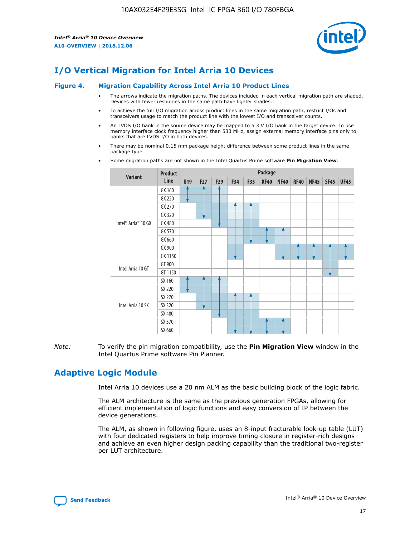

# **I/O Vertical Migration for Intel Arria 10 Devices**

#### **Figure 4. Migration Capability Across Intel Arria 10 Product Lines**

- The arrows indicate the migration paths. The devices included in each vertical migration path are shaded. Devices with fewer resources in the same path have lighter shades.
- To achieve the full I/O migration across product lines in the same migration path, restrict I/Os and transceivers usage to match the product line with the lowest I/O and transceiver counts.
- An LVDS I/O bank in the source device may be mapped to a 3 V I/O bank in the target device. To use memory interface clock frequency higher than 533 MHz, assign external memory interface pins only to banks that are LVDS I/O in both devices.
- There may be nominal 0.15 mm package height difference between some product lines in the same package type.
	- **Variant Product Line Package U19 F27 F29 F34 F35 KF40 NF40 RF40 NF45 SF45 UF45** Intel® Arria® 10 GX GX 160 GX 220 GX 270 GX 320 GX 480 GX 570 GX 660 GX 900 GX 1150 Intel Arria 10 GT GT 900 GT 1150 Intel Arria 10 SX SX 160 SX 220 SX 270 SX 320 SX 480 SX 570 SX 660
- Some migration paths are not shown in the Intel Quartus Prime software **Pin Migration View**.

*Note:* To verify the pin migration compatibility, use the **Pin Migration View** window in the Intel Quartus Prime software Pin Planner.

# **Adaptive Logic Module**

Intel Arria 10 devices use a 20 nm ALM as the basic building block of the logic fabric.

The ALM architecture is the same as the previous generation FPGAs, allowing for efficient implementation of logic functions and easy conversion of IP between the device generations.

The ALM, as shown in following figure, uses an 8-input fracturable look-up table (LUT) with four dedicated registers to help improve timing closure in register-rich designs and achieve an even higher design packing capability than the traditional two-register per LUT architecture.

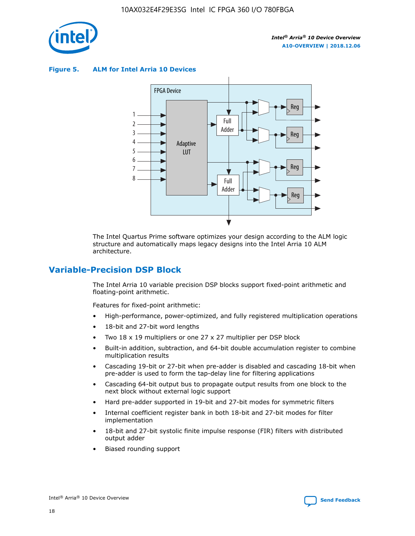

**Figure 5. ALM for Intel Arria 10 Devices**



The Intel Quartus Prime software optimizes your design according to the ALM logic structure and automatically maps legacy designs into the Intel Arria 10 ALM architecture.

# **Variable-Precision DSP Block**

The Intel Arria 10 variable precision DSP blocks support fixed-point arithmetic and floating-point arithmetic.

Features for fixed-point arithmetic:

- High-performance, power-optimized, and fully registered multiplication operations
- 18-bit and 27-bit word lengths
- Two 18 x 19 multipliers or one 27 x 27 multiplier per DSP block
- Built-in addition, subtraction, and 64-bit double accumulation register to combine multiplication results
- Cascading 19-bit or 27-bit when pre-adder is disabled and cascading 18-bit when pre-adder is used to form the tap-delay line for filtering applications
- Cascading 64-bit output bus to propagate output results from one block to the next block without external logic support
- Hard pre-adder supported in 19-bit and 27-bit modes for symmetric filters
- Internal coefficient register bank in both 18-bit and 27-bit modes for filter implementation
- 18-bit and 27-bit systolic finite impulse response (FIR) filters with distributed output adder
- Biased rounding support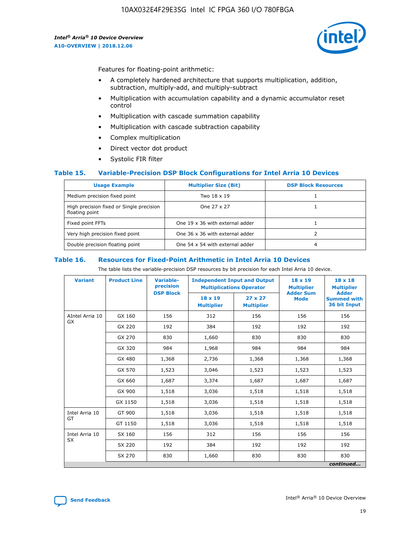

Features for floating-point arithmetic:

- A completely hardened architecture that supports multiplication, addition, subtraction, multiply-add, and multiply-subtract
- Multiplication with accumulation capability and a dynamic accumulator reset control
- Multiplication with cascade summation capability
- Multiplication with cascade subtraction capability
- Complex multiplication
- Direct vector dot product
- Systolic FIR filter

## **Table 15. Variable-Precision DSP Block Configurations for Intel Arria 10 Devices**

| <b>Usage Example</b>                                       | <b>Multiplier Size (Bit)</b>    | <b>DSP Block Resources</b> |
|------------------------------------------------------------|---------------------------------|----------------------------|
| Medium precision fixed point                               | Two 18 x 19                     |                            |
| High precision fixed or Single precision<br>floating point | One 27 x 27                     |                            |
| Fixed point FFTs                                           | One 19 x 36 with external adder |                            |
| Very high precision fixed point                            | One 36 x 36 with external adder |                            |
| Double precision floating point                            | One 54 x 54 with external adder | 4                          |

#### **Table 16. Resources for Fixed-Point Arithmetic in Intel Arria 10 Devices**

The table lists the variable-precision DSP resources by bit precision for each Intel Arria 10 device.

| <b>Variant</b>  | <b>Product Line</b> | <b>Variable-</b><br>precision<br><b>DSP Block</b> | <b>Independent Input and Output</b><br><b>Multiplications Operator</b> |                                     | 18 x 19<br><b>Multiplier</b><br><b>Adder Sum</b> | $18 \times 18$<br><b>Multiplier</b><br><b>Adder</b> |
|-----------------|---------------------|---------------------------------------------------|------------------------------------------------------------------------|-------------------------------------|--------------------------------------------------|-----------------------------------------------------|
|                 |                     |                                                   | 18 x 19<br><b>Multiplier</b>                                           | $27 \times 27$<br><b>Multiplier</b> | <b>Mode</b>                                      | <b>Summed with</b><br>36 bit Input                  |
| AIntel Arria 10 | GX 160              | 156                                               | 312                                                                    | 156                                 | 156                                              | 156                                                 |
| GX              | GX 220              | 192                                               | 384                                                                    | 192                                 | 192                                              | 192                                                 |
|                 | GX 270              | 830                                               | 1,660                                                                  | 830                                 | 830                                              | 830                                                 |
|                 | GX 320              | 984                                               | 1,968                                                                  | 984                                 | 984                                              | 984                                                 |
|                 | GX 480              | 1,368                                             | 2,736                                                                  | 1,368                               | 1,368                                            | 1,368                                               |
|                 | GX 570              | 1,523                                             | 3,046                                                                  | 1,523                               | 1,523                                            | 1,523                                               |
|                 | GX 660              | 1,687                                             | 3,374                                                                  | 1,687                               | 1,687                                            | 1,687                                               |
|                 | GX 900              | 1,518                                             | 3,036                                                                  | 1,518                               | 1,518                                            | 1,518                                               |
|                 | GX 1150             | 1,518                                             | 3,036                                                                  | 1,518                               | 1,518                                            | 1,518                                               |
| Intel Arria 10  | GT 900              | 1,518                                             | 3,036                                                                  | 1,518                               | 1,518                                            | 1,518                                               |
| GT              | GT 1150             | 1,518                                             | 3,036                                                                  | 1,518                               | 1,518                                            | 1,518                                               |
| Intel Arria 10  | SX 160              | 156                                               | 312                                                                    | 156                                 | 156                                              | 156                                                 |
| <b>SX</b>       | SX 220              | 192                                               | 384                                                                    | 192                                 | 192                                              | 192                                                 |
|                 | SX 270              | 830                                               | 1,660                                                                  | 830                                 | 830                                              | 830                                                 |
|                 |                     |                                                   |                                                                        |                                     |                                                  | continued                                           |

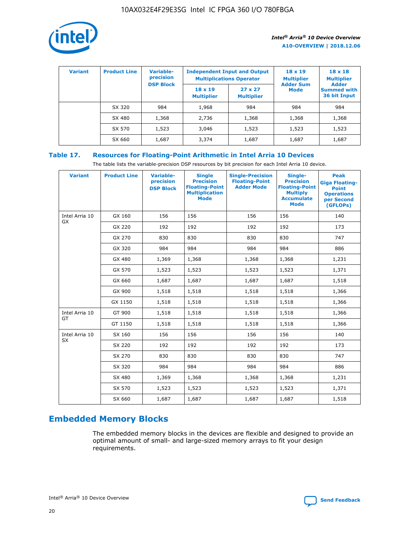

| <b>Variant</b> | <b>Product Line</b> | Variable-<br>precision | <b>Independent Input and Output</b><br><b>Multiplications Operator</b> |                                     | $18 \times 19$<br><b>Multiplier</b> | $18 \times 18$<br><b>Multiplier</b><br><b>Adder</b> |  |
|----------------|---------------------|------------------------|------------------------------------------------------------------------|-------------------------------------|-------------------------------------|-----------------------------------------------------|--|
|                |                     | <b>DSP Block</b>       | $18 \times 19$<br><b>Multiplier</b>                                    | $27 \times 27$<br><b>Multiplier</b> | <b>Adder Sum</b><br><b>Mode</b>     | <b>Summed with</b><br>36 bit Input                  |  |
|                | SX 320              | 984                    | 1,968                                                                  | 984                                 | 984                                 | 984                                                 |  |
|                | SX 480              | 1,368                  | 2,736                                                                  | 1,368                               | 1,368                               | 1,368                                               |  |
|                | SX 570              | 1,523                  | 3,046                                                                  | 1,523                               | 1,523                               | 1,523                                               |  |
|                | SX 660              | 1,687                  | 3,374                                                                  | 1,687                               | 1,687                               | 1,687                                               |  |

# **Table 17. Resources for Floating-Point Arithmetic in Intel Arria 10 Devices**

The table lists the variable-precision DSP resources by bit precision for each Intel Arria 10 device.

| <b>Variant</b> | <b>Product Line</b> | <b>Variable-</b><br>precision<br><b>DSP Block</b> | <b>Single</b><br><b>Precision</b><br><b>Floating-Point</b><br><b>Multiplication</b><br><b>Mode</b> | <b>Single-Precision</b><br><b>Floating-Point</b><br><b>Adder Mode</b> | Single-<br><b>Precision</b><br><b>Floating-Point</b><br><b>Multiply</b><br><b>Accumulate</b><br><b>Mode</b> | <b>Peak</b><br><b>Giga Floating-</b><br><b>Point</b><br><b>Operations</b><br>per Second<br>(GFLOPs) |
|----------------|---------------------|---------------------------------------------------|----------------------------------------------------------------------------------------------------|-----------------------------------------------------------------------|-------------------------------------------------------------------------------------------------------------|-----------------------------------------------------------------------------------------------------|
| Intel Arria 10 | GX 160              | 156                                               | 156                                                                                                | 156                                                                   | 156                                                                                                         | 140                                                                                                 |
| GX             | GX 220              | 192                                               | 192                                                                                                | 192                                                                   | 192                                                                                                         | 173                                                                                                 |
|                | GX 270              | 830                                               | 830                                                                                                | 830                                                                   | 830                                                                                                         | 747                                                                                                 |
|                | GX 320              | 984                                               | 984                                                                                                | 984                                                                   | 984                                                                                                         | 886                                                                                                 |
|                | GX 480              | 1,369                                             | 1,368                                                                                              | 1,368                                                                 | 1,368                                                                                                       | 1,231                                                                                               |
|                | GX 570              | 1,523                                             | 1,523                                                                                              | 1,523                                                                 | 1,523                                                                                                       | 1,371                                                                                               |
|                | GX 660              | 1,687                                             | 1,687                                                                                              | 1,687                                                                 | 1,687                                                                                                       | 1,518                                                                                               |
|                | GX 900              | 1,518                                             | 1,518                                                                                              | 1,518                                                                 | 1,518                                                                                                       | 1,366                                                                                               |
|                | GX 1150             | 1,518                                             | 1,518                                                                                              | 1,518                                                                 | 1,518                                                                                                       | 1,366                                                                                               |
| Intel Arria 10 | GT 900              | 1,518                                             | 1,518                                                                                              | 1,518                                                                 | 1,518                                                                                                       | 1,366                                                                                               |
| GT             | GT 1150             | 1,518                                             | 1,518                                                                                              | 1,518                                                                 | 1,518                                                                                                       | 1,366                                                                                               |
| Intel Arria 10 | SX 160              | 156                                               | 156                                                                                                | 156                                                                   | 156                                                                                                         | 140                                                                                                 |
| <b>SX</b>      | SX 220              | 192                                               | 192                                                                                                | 192                                                                   | 192                                                                                                         | 173                                                                                                 |
|                | SX 270              | 830                                               | 830                                                                                                | 830                                                                   | 830                                                                                                         | 747                                                                                                 |
|                | SX 320              | 984                                               | 984                                                                                                | 984                                                                   | 984                                                                                                         | 886                                                                                                 |
|                | SX 480              | 1,369                                             | 1,368                                                                                              | 1,368                                                                 | 1,368                                                                                                       | 1,231                                                                                               |
|                | SX 570              | 1,523                                             | 1,523                                                                                              | 1,523                                                                 | 1,523                                                                                                       | 1,371                                                                                               |
|                | SX 660              | 1,687                                             | 1,687                                                                                              | 1,687                                                                 | 1,687                                                                                                       | 1,518                                                                                               |

# **Embedded Memory Blocks**

The embedded memory blocks in the devices are flexible and designed to provide an optimal amount of small- and large-sized memory arrays to fit your design requirements.

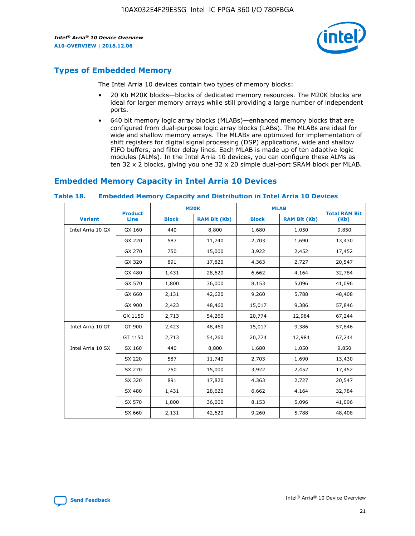

# **Types of Embedded Memory**

The Intel Arria 10 devices contain two types of memory blocks:

- 20 Kb M20K blocks—blocks of dedicated memory resources. The M20K blocks are ideal for larger memory arrays while still providing a large number of independent ports.
- 640 bit memory logic array blocks (MLABs)—enhanced memory blocks that are configured from dual-purpose logic array blocks (LABs). The MLABs are ideal for wide and shallow memory arrays. The MLABs are optimized for implementation of shift registers for digital signal processing (DSP) applications, wide and shallow FIFO buffers, and filter delay lines. Each MLAB is made up of ten adaptive logic modules (ALMs). In the Intel Arria 10 devices, you can configure these ALMs as ten 32 x 2 blocks, giving you one 32 x 20 simple dual-port SRAM block per MLAB.

# **Embedded Memory Capacity in Intel Arria 10 Devices**

|                   | <b>Product</b> |              | <b>M20K</b>         | <b>MLAB</b>  |                     | <b>Total RAM Bit</b> |
|-------------------|----------------|--------------|---------------------|--------------|---------------------|----------------------|
| <b>Variant</b>    | <b>Line</b>    | <b>Block</b> | <b>RAM Bit (Kb)</b> | <b>Block</b> | <b>RAM Bit (Kb)</b> | (Kb)                 |
| Intel Arria 10 GX | GX 160         | 440          | 8,800               | 1,680        | 1,050               | 9,850                |
|                   | GX 220         | 587          | 11,740              | 2,703        | 1,690               | 13,430               |
|                   | GX 270         | 750          | 15,000              | 3,922        | 2,452               | 17,452               |
|                   | GX 320         | 891          | 17,820              | 4,363        | 2,727               | 20,547               |
|                   | GX 480         | 1,431        | 28,620              | 6,662        | 4,164               | 32,784               |
|                   | GX 570         | 1,800        | 36,000              | 8,153        | 5,096               | 41,096               |
|                   | GX 660         | 2,131        | 42,620              | 9,260        | 5,788               | 48,408               |
|                   | GX 900         | 2,423        | 48,460              | 15,017       | 9,386               | 57,846               |
|                   | GX 1150        | 2,713        | 54,260              | 20,774       | 12,984              | 67,244               |
| Intel Arria 10 GT | GT 900         | 2,423        | 48,460              | 15,017       | 9,386               | 57,846               |
|                   | GT 1150        | 2,713        | 54,260              | 20,774       | 12,984              | 67,244               |
| Intel Arria 10 SX | SX 160         | 440          | 8,800               | 1,680        | 1,050               | 9,850                |
|                   | SX 220         | 587          | 11,740              | 2,703        | 1,690               | 13,430               |
|                   | SX 270         | 750          | 15,000              | 3,922        | 2,452               | 17,452               |
|                   | SX 320         | 891          | 17,820              | 4,363        | 2,727               | 20,547               |
|                   | SX 480         | 1,431        | 28,620              | 6,662        | 4,164               | 32,784               |
|                   | SX 570         | 1,800        | 36,000              | 8,153        | 5,096               | 41,096               |
|                   | SX 660         | 2,131        | 42,620              | 9,260        | 5,788               | 48,408               |

#### **Table 18. Embedded Memory Capacity and Distribution in Intel Arria 10 Devices**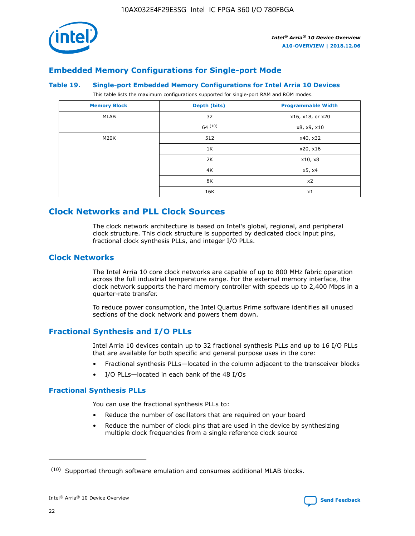

# **Embedded Memory Configurations for Single-port Mode**

#### **Table 19. Single-port Embedded Memory Configurations for Intel Arria 10 Devices**

This table lists the maximum configurations supported for single-port RAM and ROM modes.

| <b>Memory Block</b> | Depth (bits) | <b>Programmable Width</b> |
|---------------------|--------------|---------------------------|
| MLAB                | 32           | x16, x18, or x20          |
|                     | 64(10)       | x8, x9, x10               |
| M20K                | 512          | x40, x32                  |
|                     | 1K           | x20, x16                  |
|                     | 2K           | x10, x8                   |
|                     | 4K           | x5, x4                    |
|                     | 8K           | x2                        |
|                     | 16K          | x1                        |

# **Clock Networks and PLL Clock Sources**

The clock network architecture is based on Intel's global, regional, and peripheral clock structure. This clock structure is supported by dedicated clock input pins, fractional clock synthesis PLLs, and integer I/O PLLs.

# **Clock Networks**

The Intel Arria 10 core clock networks are capable of up to 800 MHz fabric operation across the full industrial temperature range. For the external memory interface, the clock network supports the hard memory controller with speeds up to 2,400 Mbps in a quarter-rate transfer.

To reduce power consumption, the Intel Quartus Prime software identifies all unused sections of the clock network and powers them down.

# **Fractional Synthesis and I/O PLLs**

Intel Arria 10 devices contain up to 32 fractional synthesis PLLs and up to 16 I/O PLLs that are available for both specific and general purpose uses in the core:

- Fractional synthesis PLLs—located in the column adjacent to the transceiver blocks
- I/O PLLs—located in each bank of the 48 I/Os

## **Fractional Synthesis PLLs**

You can use the fractional synthesis PLLs to:

- Reduce the number of oscillators that are required on your board
- Reduce the number of clock pins that are used in the device by synthesizing multiple clock frequencies from a single reference clock source

<sup>(10)</sup> Supported through software emulation and consumes additional MLAB blocks.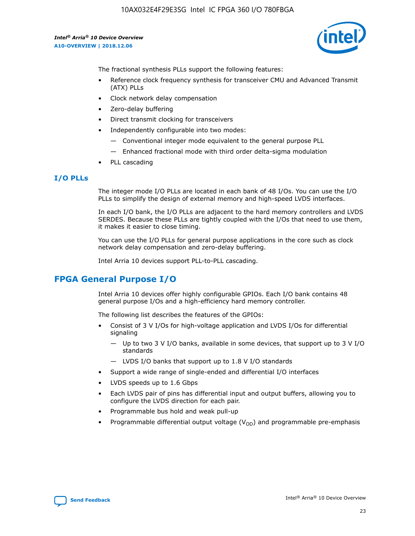

The fractional synthesis PLLs support the following features:

- Reference clock frequency synthesis for transceiver CMU and Advanced Transmit (ATX) PLLs
- Clock network delay compensation
- Zero-delay buffering
- Direct transmit clocking for transceivers
- Independently configurable into two modes:
	- Conventional integer mode equivalent to the general purpose PLL
	- Enhanced fractional mode with third order delta-sigma modulation
- PLL cascading

## **I/O PLLs**

The integer mode I/O PLLs are located in each bank of 48 I/Os. You can use the I/O PLLs to simplify the design of external memory and high-speed LVDS interfaces.

In each I/O bank, the I/O PLLs are adjacent to the hard memory controllers and LVDS SERDES. Because these PLLs are tightly coupled with the I/Os that need to use them, it makes it easier to close timing.

You can use the I/O PLLs for general purpose applications in the core such as clock network delay compensation and zero-delay buffering.

Intel Arria 10 devices support PLL-to-PLL cascading.

# **FPGA General Purpose I/O**

Intel Arria 10 devices offer highly configurable GPIOs. Each I/O bank contains 48 general purpose I/Os and a high-efficiency hard memory controller.

The following list describes the features of the GPIOs:

- Consist of 3 V I/Os for high-voltage application and LVDS I/Os for differential signaling
	- Up to two 3 V I/O banks, available in some devices, that support up to 3 V I/O standards
	- LVDS I/O banks that support up to 1.8 V I/O standards
- Support a wide range of single-ended and differential I/O interfaces
- LVDS speeds up to 1.6 Gbps
- Each LVDS pair of pins has differential input and output buffers, allowing you to configure the LVDS direction for each pair.
- Programmable bus hold and weak pull-up
- Programmable differential output voltage  $(V_{OD})$  and programmable pre-emphasis

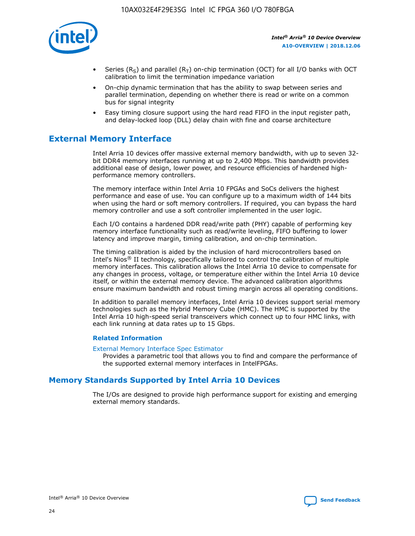

- Series (R<sub>S</sub>) and parallel (R<sub>T</sub>) on-chip termination (OCT) for all I/O banks with OCT calibration to limit the termination impedance variation
- On-chip dynamic termination that has the ability to swap between series and parallel termination, depending on whether there is read or write on a common bus for signal integrity
- Easy timing closure support using the hard read FIFO in the input register path, and delay-locked loop (DLL) delay chain with fine and coarse architecture

# **External Memory Interface**

Intel Arria 10 devices offer massive external memory bandwidth, with up to seven 32 bit DDR4 memory interfaces running at up to 2,400 Mbps. This bandwidth provides additional ease of design, lower power, and resource efficiencies of hardened highperformance memory controllers.

The memory interface within Intel Arria 10 FPGAs and SoCs delivers the highest performance and ease of use. You can configure up to a maximum width of 144 bits when using the hard or soft memory controllers. If required, you can bypass the hard memory controller and use a soft controller implemented in the user logic.

Each I/O contains a hardened DDR read/write path (PHY) capable of performing key memory interface functionality such as read/write leveling, FIFO buffering to lower latency and improve margin, timing calibration, and on-chip termination.

The timing calibration is aided by the inclusion of hard microcontrollers based on Intel's Nios® II technology, specifically tailored to control the calibration of multiple memory interfaces. This calibration allows the Intel Arria 10 device to compensate for any changes in process, voltage, or temperature either within the Intel Arria 10 device itself, or within the external memory device. The advanced calibration algorithms ensure maximum bandwidth and robust timing margin across all operating conditions.

In addition to parallel memory interfaces, Intel Arria 10 devices support serial memory technologies such as the Hybrid Memory Cube (HMC). The HMC is supported by the Intel Arria 10 high-speed serial transceivers which connect up to four HMC links, with each link running at data rates up to 15 Gbps.

## **Related Information**

#### [External Memory Interface Spec Estimator](http://www.altera.com/technology/memory/estimator/mem-emif-index.html)

Provides a parametric tool that allows you to find and compare the performance of the supported external memory interfaces in IntelFPGAs.

# **Memory Standards Supported by Intel Arria 10 Devices**

The I/Os are designed to provide high performance support for existing and emerging external memory standards.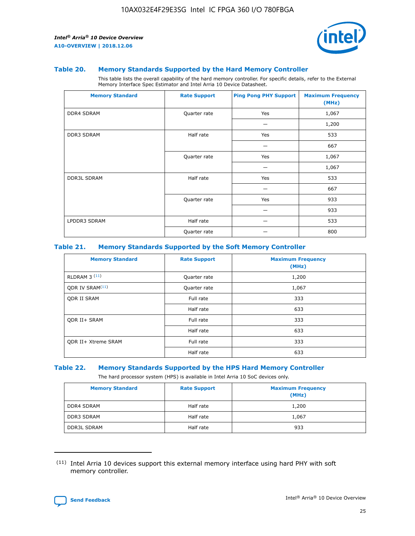

## **Table 20. Memory Standards Supported by the Hard Memory Controller**

This table lists the overall capability of the hard memory controller. For specific details, refer to the External Memory Interface Spec Estimator and Intel Arria 10 Device Datasheet.

| <b>Memory Standard</b> | <b>Rate Support</b> | <b>Ping Pong PHY Support</b> | <b>Maximum Frequency</b><br>(MHz) |
|------------------------|---------------------|------------------------------|-----------------------------------|
| <b>DDR4 SDRAM</b>      | Quarter rate        | Yes                          | 1,067                             |
|                        |                     |                              | 1,200                             |
| <b>DDR3 SDRAM</b>      | Half rate           | Yes                          | 533                               |
|                        |                     |                              | 667                               |
|                        | Quarter rate        | Yes                          | 1,067                             |
|                        |                     |                              | 1,067                             |
| <b>DDR3L SDRAM</b>     | Half rate           | Yes                          | 533                               |
|                        |                     |                              | 667                               |
|                        | Quarter rate        | Yes                          | 933                               |
|                        |                     |                              | 933                               |
| LPDDR3 SDRAM           | Half rate           |                              | 533                               |
|                        | Quarter rate        |                              | 800                               |

#### **Table 21. Memory Standards Supported by the Soft Memory Controller**

| <b>Memory Standard</b>      | <b>Rate Support</b> | <b>Maximum Frequency</b><br>(MHz) |
|-----------------------------|---------------------|-----------------------------------|
| <b>RLDRAM 3 (11)</b>        | Quarter rate        | 1,200                             |
| ODR IV SRAM <sup>(11)</sup> | Quarter rate        | 1,067                             |
| <b>ODR II SRAM</b>          | Full rate           | 333                               |
|                             | Half rate           | 633                               |
| <b>ODR II+ SRAM</b>         | Full rate           | 333                               |
|                             | Half rate           | 633                               |
| <b>ODR II+ Xtreme SRAM</b>  | Full rate           | 333                               |
|                             | Half rate           | 633                               |

## **Table 22. Memory Standards Supported by the HPS Hard Memory Controller**

The hard processor system (HPS) is available in Intel Arria 10 SoC devices only.

| <b>Memory Standard</b> | <b>Rate Support</b> | <b>Maximum Frequency</b><br>(MHz) |
|------------------------|---------------------|-----------------------------------|
| <b>DDR4 SDRAM</b>      | Half rate           | 1,200                             |
| <b>DDR3 SDRAM</b>      | Half rate           | 1,067                             |
| <b>DDR3L SDRAM</b>     | Half rate           | 933                               |

<sup>(11)</sup> Intel Arria 10 devices support this external memory interface using hard PHY with soft memory controller.

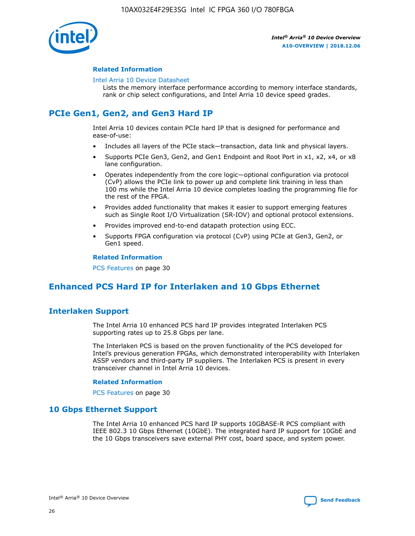

## **Related Information**

#### [Intel Arria 10 Device Datasheet](https://www.intel.com/content/www/us/en/programmable/documentation/mcn1413182292568.html#mcn1413182153340)

Lists the memory interface performance according to memory interface standards, rank or chip select configurations, and Intel Arria 10 device speed grades.

# **PCIe Gen1, Gen2, and Gen3 Hard IP**

Intel Arria 10 devices contain PCIe hard IP that is designed for performance and ease-of-use:

- Includes all layers of the PCIe stack—transaction, data link and physical layers.
- Supports PCIe Gen3, Gen2, and Gen1 Endpoint and Root Port in x1, x2, x4, or x8 lane configuration.
- Operates independently from the core logic—optional configuration via protocol (CvP) allows the PCIe link to power up and complete link training in less than 100 ms while the Intel Arria 10 device completes loading the programming file for the rest of the FPGA.
- Provides added functionality that makes it easier to support emerging features such as Single Root I/O Virtualization (SR-IOV) and optional protocol extensions.
- Provides improved end-to-end datapath protection using ECC.
- Supports FPGA configuration via protocol (CvP) using PCIe at Gen3, Gen2, or Gen1 speed.

#### **Related Information**

PCS Features on page 30

# **Enhanced PCS Hard IP for Interlaken and 10 Gbps Ethernet**

# **Interlaken Support**

The Intel Arria 10 enhanced PCS hard IP provides integrated Interlaken PCS supporting rates up to 25.8 Gbps per lane.

The Interlaken PCS is based on the proven functionality of the PCS developed for Intel's previous generation FPGAs, which demonstrated interoperability with Interlaken ASSP vendors and third-party IP suppliers. The Interlaken PCS is present in every transceiver channel in Intel Arria 10 devices.

## **Related Information**

PCS Features on page 30

# **10 Gbps Ethernet Support**

The Intel Arria 10 enhanced PCS hard IP supports 10GBASE-R PCS compliant with IEEE 802.3 10 Gbps Ethernet (10GbE). The integrated hard IP support for 10GbE and the 10 Gbps transceivers save external PHY cost, board space, and system power.

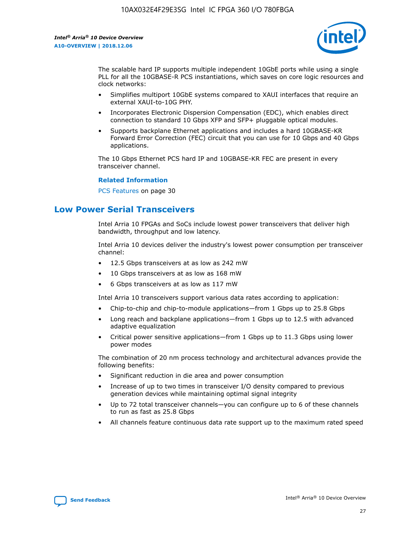

The scalable hard IP supports multiple independent 10GbE ports while using a single PLL for all the 10GBASE-R PCS instantiations, which saves on core logic resources and clock networks:

- Simplifies multiport 10GbE systems compared to XAUI interfaces that require an external XAUI-to-10G PHY.
- Incorporates Electronic Dispersion Compensation (EDC), which enables direct connection to standard 10 Gbps XFP and SFP+ pluggable optical modules.
- Supports backplane Ethernet applications and includes a hard 10GBASE-KR Forward Error Correction (FEC) circuit that you can use for 10 Gbps and 40 Gbps applications.

The 10 Gbps Ethernet PCS hard IP and 10GBASE-KR FEC are present in every transceiver channel.

## **Related Information**

PCS Features on page 30

# **Low Power Serial Transceivers**

Intel Arria 10 FPGAs and SoCs include lowest power transceivers that deliver high bandwidth, throughput and low latency.

Intel Arria 10 devices deliver the industry's lowest power consumption per transceiver channel:

- 12.5 Gbps transceivers at as low as 242 mW
- 10 Gbps transceivers at as low as 168 mW
- 6 Gbps transceivers at as low as 117 mW

Intel Arria 10 transceivers support various data rates according to application:

- Chip-to-chip and chip-to-module applications—from 1 Gbps up to 25.8 Gbps
- Long reach and backplane applications—from 1 Gbps up to 12.5 with advanced adaptive equalization
- Critical power sensitive applications—from 1 Gbps up to 11.3 Gbps using lower power modes

The combination of 20 nm process technology and architectural advances provide the following benefits:

- Significant reduction in die area and power consumption
- Increase of up to two times in transceiver I/O density compared to previous generation devices while maintaining optimal signal integrity
- Up to 72 total transceiver channels—you can configure up to 6 of these channels to run as fast as 25.8 Gbps
- All channels feature continuous data rate support up to the maximum rated speed

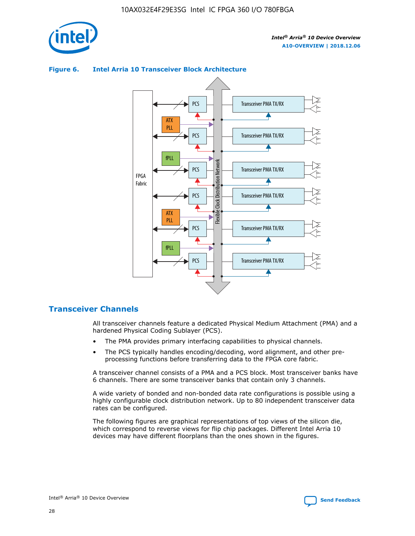

## Transceiver PMA TX/RX PCS ATX PLL Transceiver PMA TX/RX PCS fPLL Network Flexible Clock Distribution Network PCS Transceiver PMA TX/RX FPGA **Clock Distribution** Fabric PCS Transceiver PMA TX/RX ATX Flexible PLL PCS Transceiver PMA TX/RX ▲ fPLL Transceiver PMA TX/RX PCS 4

## **Figure 6. Intel Arria 10 Transceiver Block Architecture**

# **Transceiver Channels**

All transceiver channels feature a dedicated Physical Medium Attachment (PMA) and a hardened Physical Coding Sublayer (PCS).

- The PMA provides primary interfacing capabilities to physical channels.
- The PCS typically handles encoding/decoding, word alignment, and other preprocessing functions before transferring data to the FPGA core fabric.

A transceiver channel consists of a PMA and a PCS block. Most transceiver banks have 6 channels. There are some transceiver banks that contain only 3 channels.

A wide variety of bonded and non-bonded data rate configurations is possible using a highly configurable clock distribution network. Up to 80 independent transceiver data rates can be configured.

The following figures are graphical representations of top views of the silicon die, which correspond to reverse views for flip chip packages. Different Intel Arria 10 devices may have different floorplans than the ones shown in the figures.

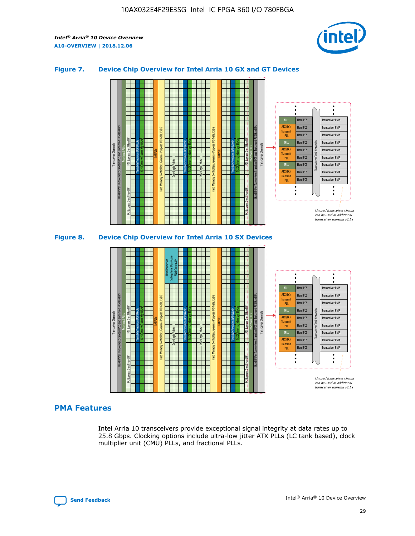

## **Figure 7. Device Chip Overview for Intel Arria 10 GX and GT Devices**





# **PMA Features**

Intel Arria 10 transceivers provide exceptional signal integrity at data rates up to 25.8 Gbps. Clocking options include ultra-low jitter ATX PLLs (LC tank based), clock multiplier unit (CMU) PLLs, and fractional PLLs.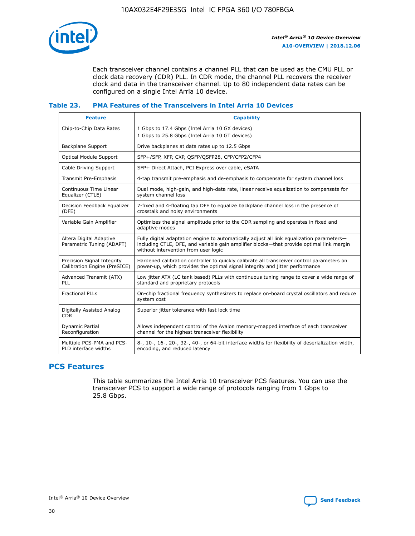

Each transceiver channel contains a channel PLL that can be used as the CMU PLL or clock data recovery (CDR) PLL. In CDR mode, the channel PLL recovers the receiver clock and data in the transceiver channel. Up to 80 independent data rates can be configured on a single Intel Arria 10 device.

## **Table 23. PMA Features of the Transceivers in Intel Arria 10 Devices**

| <b>Feature</b>                                             | <b>Capability</b>                                                                                                                                                                                                             |
|------------------------------------------------------------|-------------------------------------------------------------------------------------------------------------------------------------------------------------------------------------------------------------------------------|
| Chip-to-Chip Data Rates                                    | 1 Gbps to 17.4 Gbps (Intel Arria 10 GX devices)<br>1 Gbps to 25.8 Gbps (Intel Arria 10 GT devices)                                                                                                                            |
| Backplane Support                                          | Drive backplanes at data rates up to 12.5 Gbps                                                                                                                                                                                |
| <b>Optical Module Support</b>                              | SFP+/SFP, XFP, CXP, QSFP/QSFP28, CFP/CFP2/CFP4                                                                                                                                                                                |
| Cable Driving Support                                      | SFP+ Direct Attach, PCI Express over cable, eSATA                                                                                                                                                                             |
| Transmit Pre-Emphasis                                      | 4-tap transmit pre-emphasis and de-emphasis to compensate for system channel loss                                                                                                                                             |
| Continuous Time Linear<br>Equalizer (CTLE)                 | Dual mode, high-gain, and high-data rate, linear receive equalization to compensate for<br>system channel loss                                                                                                                |
| Decision Feedback Equalizer<br>(DFE)                       | 7-fixed and 4-floating tap DFE to equalize backplane channel loss in the presence of<br>crosstalk and noisy environments                                                                                                      |
| Variable Gain Amplifier                                    | Optimizes the signal amplitude prior to the CDR sampling and operates in fixed and<br>adaptive modes                                                                                                                          |
| Altera Digital Adaptive<br>Parametric Tuning (ADAPT)       | Fully digital adaptation engine to automatically adjust all link equalization parameters-<br>including CTLE, DFE, and variable gain amplifier blocks—that provide optimal link margin<br>without intervention from user logic |
| Precision Signal Integrity<br>Calibration Engine (PreSICE) | Hardened calibration controller to quickly calibrate all transceiver control parameters on<br>power-up, which provides the optimal signal integrity and jitter performance                                                    |
| Advanced Transmit (ATX)<br>PLL                             | Low jitter ATX (LC tank based) PLLs with continuous tuning range to cover a wide range of<br>standard and proprietary protocols                                                                                               |
| <b>Fractional PLLs</b>                                     | On-chip fractional frequency synthesizers to replace on-board crystal oscillators and reduce<br>system cost                                                                                                                   |
| Digitally Assisted Analog<br><b>CDR</b>                    | Superior jitter tolerance with fast lock time                                                                                                                                                                                 |
| Dynamic Partial<br>Reconfiguration                         | Allows independent control of the Avalon memory-mapped interface of each transceiver<br>channel for the highest transceiver flexibility                                                                                       |
| Multiple PCS-PMA and PCS-<br>PLD interface widths          | 8-, 10-, 16-, 20-, 32-, 40-, or 64-bit interface widths for flexibility of deserialization width,<br>encoding, and reduced latency                                                                                            |

# **PCS Features**

This table summarizes the Intel Arria 10 transceiver PCS features. You can use the transceiver PCS to support a wide range of protocols ranging from 1 Gbps to 25.8 Gbps.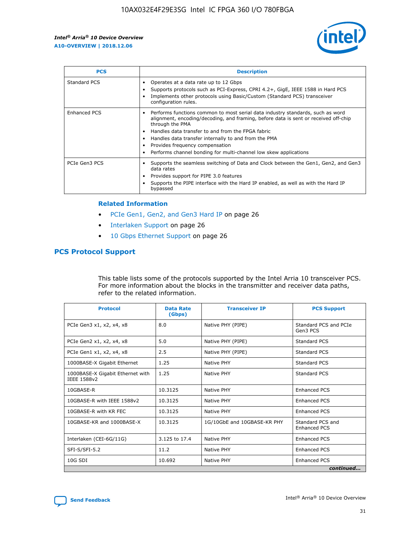

| <b>PCS</b>          | <b>Description</b>                                                                                                                                                                                                                                                                                                                                                                                             |
|---------------------|----------------------------------------------------------------------------------------------------------------------------------------------------------------------------------------------------------------------------------------------------------------------------------------------------------------------------------------------------------------------------------------------------------------|
| Standard PCS        | Operates at a data rate up to 12 Gbps<br>Supports protocols such as PCI-Express, CPRI 4.2+, GigE, IEEE 1588 in Hard PCS<br>Implements other protocols using Basic/Custom (Standard PCS) transceiver<br>configuration rules.                                                                                                                                                                                    |
| <b>Enhanced PCS</b> | Performs functions common to most serial data industry standards, such as word<br>alignment, encoding/decoding, and framing, before data is sent or received off-chip<br>through the PMA<br>• Handles data transfer to and from the FPGA fabric<br>Handles data transfer internally to and from the PMA<br>Provides frequency compensation<br>Performs channel bonding for multi-channel low skew applications |
| PCIe Gen3 PCS       | Supports the seamless switching of Data and Clock between the Gen1, Gen2, and Gen3<br>data rates<br>Provides support for PIPE 3.0 features<br>Supports the PIPE interface with the Hard IP enabled, as well as with the Hard IP<br>bypassed                                                                                                                                                                    |

#### **Related Information**

- PCIe Gen1, Gen2, and Gen3 Hard IP on page 26
- Interlaken Support on page 26
- 10 Gbps Ethernet Support on page 26

# **PCS Protocol Support**

This table lists some of the protocols supported by the Intel Arria 10 transceiver PCS. For more information about the blocks in the transmitter and receiver data paths, refer to the related information.

| <b>Protocol</b>                                 | <b>Data Rate</b><br>(Gbps) | <b>Transceiver IP</b>       | <b>PCS Support</b>                      |
|-------------------------------------------------|----------------------------|-----------------------------|-----------------------------------------|
| PCIe Gen3 x1, x2, x4, x8                        | 8.0                        | Native PHY (PIPE)           | Standard PCS and PCIe<br>Gen3 PCS       |
| PCIe Gen2 x1, x2, x4, x8                        | 5.0                        | Native PHY (PIPE)           | <b>Standard PCS</b>                     |
| PCIe Gen1 x1, x2, x4, x8                        | 2.5                        | Native PHY (PIPE)           | Standard PCS                            |
| 1000BASE-X Gigabit Ethernet                     | 1.25                       | Native PHY                  | <b>Standard PCS</b>                     |
| 1000BASE-X Gigabit Ethernet with<br>IEEE 1588v2 | 1.25                       | Native PHY                  | Standard PCS                            |
| 10GBASE-R                                       | 10.3125                    | Native PHY                  | <b>Enhanced PCS</b>                     |
| 10GBASE-R with IEEE 1588v2                      | 10.3125                    | Native PHY                  | <b>Enhanced PCS</b>                     |
| 10GBASE-R with KR FEC                           | 10.3125                    | Native PHY                  | <b>Enhanced PCS</b>                     |
| 10GBASE-KR and 1000BASE-X                       | 10.3125                    | 1G/10GbE and 10GBASE-KR PHY | Standard PCS and<br><b>Enhanced PCS</b> |
| Interlaken (CEI-6G/11G)                         | 3.125 to 17.4              | Native PHY                  | <b>Enhanced PCS</b>                     |
| SFI-S/SFI-5.2                                   | 11.2                       | Native PHY                  | <b>Enhanced PCS</b>                     |
| $10G$ SDI                                       | 10.692                     | Native PHY                  | <b>Enhanced PCS</b>                     |
|                                                 |                            |                             | continued                               |

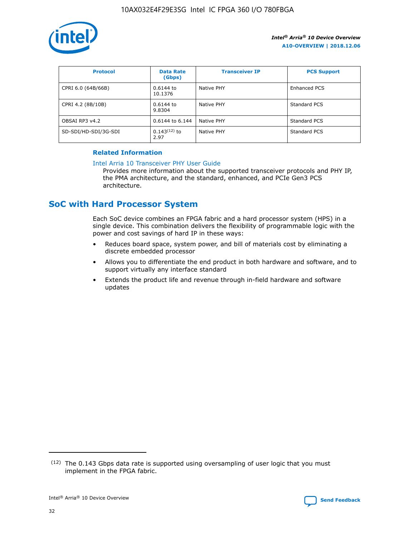

| <b>Protocol</b>      | <b>Data Rate</b><br>(Gbps) | <b>Transceiver IP</b> | <b>PCS Support</b> |
|----------------------|----------------------------|-----------------------|--------------------|
| CPRI 6.0 (64B/66B)   | 0.6144 to<br>10.1376       | Native PHY            | Enhanced PCS       |
| CPRI 4.2 (8B/10B)    | 0.6144 to<br>9.8304        | Native PHY            | Standard PCS       |
| OBSAI RP3 v4.2       | 0.6144 to 6.144            | Native PHY            | Standard PCS       |
| SD-SDI/HD-SDI/3G-SDI | $0.143(12)$ to<br>2.97     | Native PHY            | Standard PCS       |

## **Related Information**

#### [Intel Arria 10 Transceiver PHY User Guide](https://www.intel.com/content/www/us/en/programmable/documentation/nik1398707230472.html#nik1398707091164)

Provides more information about the supported transceiver protocols and PHY IP, the PMA architecture, and the standard, enhanced, and PCIe Gen3 PCS architecture.

# **SoC with Hard Processor System**

Each SoC device combines an FPGA fabric and a hard processor system (HPS) in a single device. This combination delivers the flexibility of programmable logic with the power and cost savings of hard IP in these ways:

- Reduces board space, system power, and bill of materials cost by eliminating a discrete embedded processor
- Allows you to differentiate the end product in both hardware and software, and to support virtually any interface standard
- Extends the product life and revenue through in-field hardware and software updates

 $(12)$  The 0.143 Gbps data rate is supported using oversampling of user logic that you must implement in the FPGA fabric.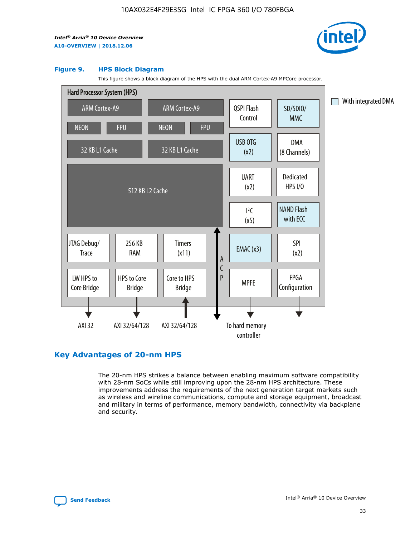

#### **Figure 9. HPS Block Diagram**

This figure shows a block diagram of the HPS with the dual ARM Cortex-A9 MPCore processor.



# **Key Advantages of 20-nm HPS**

The 20-nm HPS strikes a balance between enabling maximum software compatibility with 28-nm SoCs while still improving upon the 28-nm HPS architecture. These improvements address the requirements of the next generation target markets such as wireless and wireline communications, compute and storage equipment, broadcast and military in terms of performance, memory bandwidth, connectivity via backplane and security.

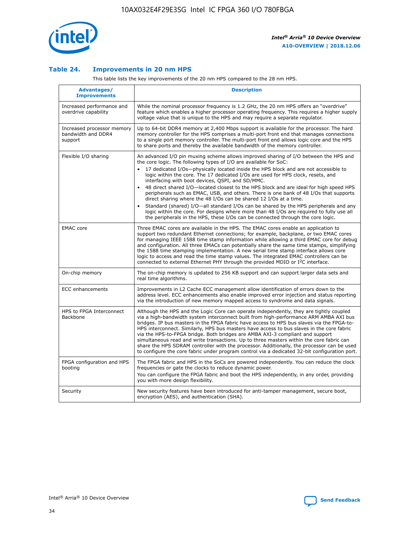

## **Table 24. Improvements in 20 nm HPS**

This table lists the key improvements of the 20 nm HPS compared to the 28 nm HPS.

| Advantages/<br><b>Improvements</b>                          | <b>Description</b>                                                                                                                                                                                                                                                                                                                                                                                                                                                                                                                                                                                                                                                                                                                                                                                                                                                                                                                                |
|-------------------------------------------------------------|---------------------------------------------------------------------------------------------------------------------------------------------------------------------------------------------------------------------------------------------------------------------------------------------------------------------------------------------------------------------------------------------------------------------------------------------------------------------------------------------------------------------------------------------------------------------------------------------------------------------------------------------------------------------------------------------------------------------------------------------------------------------------------------------------------------------------------------------------------------------------------------------------------------------------------------------------|
| Increased performance and<br>overdrive capability           | While the nominal processor frequency is 1.2 GHz, the 20 nm HPS offers an "overdrive"<br>feature which enables a higher processor operating frequency. This requires a higher supply<br>voltage value that is unique to the HPS and may require a separate regulator.                                                                                                                                                                                                                                                                                                                                                                                                                                                                                                                                                                                                                                                                             |
| Increased processor memory<br>bandwidth and DDR4<br>support | Up to 64-bit DDR4 memory at 2,400 Mbps support is available for the processor. The hard<br>memory controller for the HPS comprises a multi-port front end that manages connections<br>to a single port memory controller. The multi-port front end allows logic core and the HPS<br>to share ports and thereby the available bandwidth of the memory controller.                                                                                                                                                                                                                                                                                                                                                                                                                                                                                                                                                                                  |
| Flexible I/O sharing                                        | An advanced I/O pin muxing scheme allows improved sharing of I/O between the HPS and<br>the core logic. The following types of I/O are available for SoC:<br>$\bullet$<br>17 dedicated I/Os-physically located inside the HPS block and are not accessible to<br>logic within the core. The 17 dedicated I/Os are used for HPS clock, resets, and<br>interfacing with boot devices, QSPI, and SD/MMC.<br>48 direct shared I/O-located closest to the HPS block and are ideal for high speed HPS<br>$\bullet$<br>peripherals such as EMAC, USB, and others. There is one bank of 48 I/Os that supports<br>direct sharing where the 48 I/Os can be shared 12 I/Os at a time.<br>Standard (shared) I/O-all standard I/Os can be shared by the HPS peripherals and any<br>logic within the core. For designs where more than 48 I/Os are required to fully use all<br>the peripherals in the HPS, these I/Os can be connected through the core logic. |
| <b>EMAC</b> core                                            | Three EMAC cores are available in the HPS. The EMAC cores enable an application to<br>support two redundant Ethernet connections; for example, backplane, or two EMAC cores<br>for managing IEEE 1588 time stamp information while allowing a third EMAC core for debug<br>and configuration. All three EMACs can potentially share the same time stamps, simplifying<br>the 1588 time stamping implementation. A new serial time stamp interface allows core<br>logic to access and read the time stamp values. The integrated EMAC controllers can be<br>connected to external Ethernet PHY through the provided MDIO or I <sup>2</sup> C interface.                                                                                                                                                                                                                                                                                            |
| On-chip memory                                              | The on-chip memory is updated to 256 KB support and can support larger data sets and<br>real time algorithms.                                                                                                                                                                                                                                                                                                                                                                                                                                                                                                                                                                                                                                                                                                                                                                                                                                     |
| <b>ECC</b> enhancements                                     | Improvements in L2 Cache ECC management allow identification of errors down to the<br>address level. ECC enhancements also enable improved error injection and status reporting<br>via the introduction of new memory mapped access to syndrome and data signals.                                                                                                                                                                                                                                                                                                                                                                                                                                                                                                                                                                                                                                                                                 |
| HPS to FPGA Interconnect<br>Backbone                        | Although the HPS and the Logic Core can operate independently, they are tightly coupled<br>via a high-bandwidth system interconnect built from high-performance ARM AMBA AXI bus<br>bridges. IP bus masters in the FPGA fabric have access to HPS bus slaves via the FPGA-to-<br>HPS interconnect. Similarly, HPS bus masters have access to bus slaves in the core fabric<br>via the HPS-to-FPGA bridge. Both bridges are AMBA AXI-3 compliant and support<br>simultaneous read and write transactions. Up to three masters within the core fabric can<br>share the HPS SDRAM controller with the processor. Additionally, the processor can be used<br>to configure the core fabric under program control via a dedicated 32-bit configuration port.                                                                                                                                                                                            |
| FPGA configuration and HPS<br>booting                       | The FPGA fabric and HPS in the SoCs are powered independently. You can reduce the clock<br>frequencies or gate the clocks to reduce dynamic power.<br>You can configure the FPGA fabric and boot the HPS independently, in any order, providing<br>you with more design flexibility.                                                                                                                                                                                                                                                                                                                                                                                                                                                                                                                                                                                                                                                              |
| Security                                                    | New security features have been introduced for anti-tamper management, secure boot,<br>encryption (AES), and authentication (SHA).                                                                                                                                                                                                                                                                                                                                                                                                                                                                                                                                                                                                                                                                                                                                                                                                                |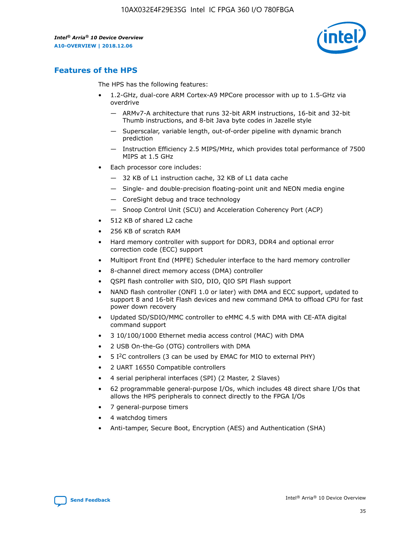

# **Features of the HPS**

The HPS has the following features:

- 1.2-GHz, dual-core ARM Cortex-A9 MPCore processor with up to 1.5-GHz via overdrive
	- ARMv7-A architecture that runs 32-bit ARM instructions, 16-bit and 32-bit Thumb instructions, and 8-bit Java byte codes in Jazelle style
	- Superscalar, variable length, out-of-order pipeline with dynamic branch prediction
	- Instruction Efficiency 2.5 MIPS/MHz, which provides total performance of 7500 MIPS at 1.5 GHz
- Each processor core includes:
	- 32 KB of L1 instruction cache, 32 KB of L1 data cache
	- Single- and double-precision floating-point unit and NEON media engine
	- CoreSight debug and trace technology
	- Snoop Control Unit (SCU) and Acceleration Coherency Port (ACP)
- 512 KB of shared L2 cache
- 256 KB of scratch RAM
- Hard memory controller with support for DDR3, DDR4 and optional error correction code (ECC) support
- Multiport Front End (MPFE) Scheduler interface to the hard memory controller
- 8-channel direct memory access (DMA) controller
- QSPI flash controller with SIO, DIO, QIO SPI Flash support
- NAND flash controller (ONFI 1.0 or later) with DMA and ECC support, updated to support 8 and 16-bit Flash devices and new command DMA to offload CPU for fast power down recovery
- Updated SD/SDIO/MMC controller to eMMC 4.5 with DMA with CE-ATA digital command support
- 3 10/100/1000 Ethernet media access control (MAC) with DMA
- 2 USB On-the-Go (OTG) controllers with DMA
- $\bullet$  5 I<sup>2</sup>C controllers (3 can be used by EMAC for MIO to external PHY)
- 2 UART 16550 Compatible controllers
- 4 serial peripheral interfaces (SPI) (2 Master, 2 Slaves)
- 62 programmable general-purpose I/Os, which includes 48 direct share I/Os that allows the HPS peripherals to connect directly to the FPGA I/Os
- 7 general-purpose timers
- 4 watchdog timers
- Anti-tamper, Secure Boot, Encryption (AES) and Authentication (SHA)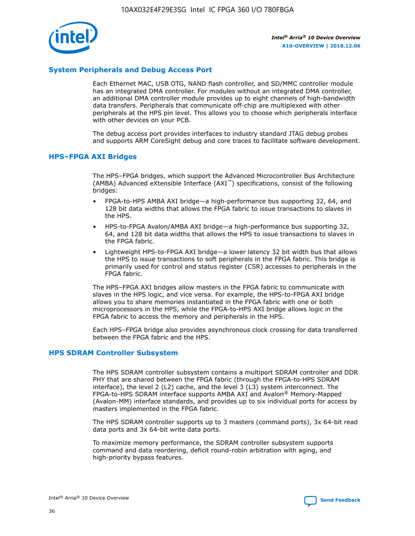

# **System Peripherals and Debug Access Port**

Each Ethernet MAC, USB OTG, NAND flash controller, and SD/MMC controller module has an integrated DMA controller. For modules without an integrated DMA controller, an additional DMA controller module provides up to eight channels of high-bandwidth data transfers. Peripherals that communicate off-chip are multiplexed with other peripherals at the HPS pin level. This allows you to choose which peripherals interface with other devices on your PCB.

The debug access port provides interfaces to industry standard JTAG debug probes and supports ARM CoreSight debug and core traces to facilitate software development.

#### **HPS–FPGA AXI Bridges**

The HPS–FPGA bridges, which support the Advanced Microcontroller Bus Architecture (AMBA) Advanced eXtensible Interface (AXI™) specifications, consist of the following bridges:

- FPGA-to-HPS AMBA AXI bridge—a high-performance bus supporting 32, 64, and 128 bit data widths that allows the FPGA fabric to issue transactions to slaves in the HPS.
- HPS-to-FPGA Avalon/AMBA AXI bridge—a high-performance bus supporting 32, 64, and 128 bit data widths that allows the HPS to issue transactions to slaves in the FPGA fabric.
- Lightweight HPS-to-FPGA AXI bridge—a lower latency 32 bit width bus that allows the HPS to issue transactions to soft peripherals in the FPGA fabric. This bridge is primarily used for control and status register (CSR) accesses to peripherals in the FPGA fabric.

The HPS–FPGA AXI bridges allow masters in the FPGA fabric to communicate with slaves in the HPS logic, and vice versa. For example, the HPS-to-FPGA AXI bridge allows you to share memories instantiated in the FPGA fabric with one or both microprocessors in the HPS, while the FPGA-to-HPS AXI bridge allows logic in the FPGA fabric to access the memory and peripherals in the HPS.

Each HPS–FPGA bridge also provides asynchronous clock crossing for data transferred between the FPGA fabric and the HPS.

#### **HPS SDRAM Controller Subsystem**

The HPS SDRAM controller subsystem contains a multiport SDRAM controller and DDR PHY that are shared between the FPGA fabric (through the FPGA-to-HPS SDRAM interface), the level 2 (L2) cache, and the level 3 (L3) system interconnect. The FPGA-to-HPS SDRAM interface supports AMBA AXI and Avalon® Memory-Mapped (Avalon-MM) interface standards, and provides up to six individual ports for access by masters implemented in the FPGA fabric.

The HPS SDRAM controller supports up to 3 masters (command ports), 3x 64-bit read data ports and 3x 64-bit write data ports.

To maximize memory performance, the SDRAM controller subsystem supports command and data reordering, deficit round-robin arbitration with aging, and high-priority bypass features.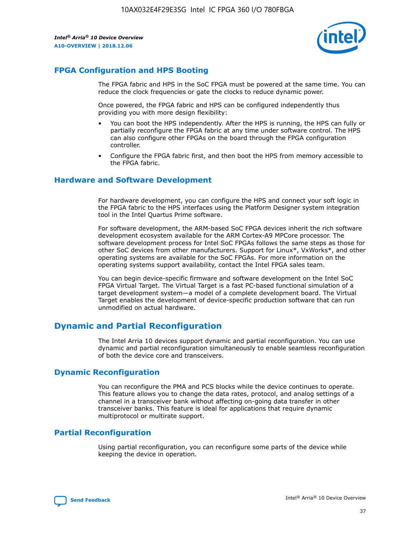

# **FPGA Configuration and HPS Booting**

The FPGA fabric and HPS in the SoC FPGA must be powered at the same time. You can reduce the clock frequencies or gate the clocks to reduce dynamic power.

Once powered, the FPGA fabric and HPS can be configured independently thus providing you with more design flexibility:

- You can boot the HPS independently. After the HPS is running, the HPS can fully or partially reconfigure the FPGA fabric at any time under software control. The HPS can also configure other FPGAs on the board through the FPGA configuration controller.
- Configure the FPGA fabric first, and then boot the HPS from memory accessible to the FPGA fabric.

## **Hardware and Software Development**

For hardware development, you can configure the HPS and connect your soft logic in the FPGA fabric to the HPS interfaces using the Platform Designer system integration tool in the Intel Quartus Prime software.

For software development, the ARM-based SoC FPGA devices inherit the rich software development ecosystem available for the ARM Cortex-A9 MPCore processor. The software development process for Intel SoC FPGAs follows the same steps as those for other SoC devices from other manufacturers. Support for Linux\*, VxWorks\*, and other operating systems are available for the SoC FPGAs. For more information on the operating systems support availability, contact the Intel FPGA sales team.

You can begin device-specific firmware and software development on the Intel SoC FPGA Virtual Target. The Virtual Target is a fast PC-based functional simulation of a target development system—a model of a complete development board. The Virtual Target enables the development of device-specific production software that can run unmodified on actual hardware.

# **Dynamic and Partial Reconfiguration**

The Intel Arria 10 devices support dynamic and partial reconfiguration. You can use dynamic and partial reconfiguration simultaneously to enable seamless reconfiguration of both the device core and transceivers.

# **Dynamic Reconfiguration**

You can reconfigure the PMA and PCS blocks while the device continues to operate. This feature allows you to change the data rates, protocol, and analog settings of a channel in a transceiver bank without affecting on-going data transfer in other transceiver banks. This feature is ideal for applications that require dynamic multiprotocol or multirate support.

# **Partial Reconfiguration**

Using partial reconfiguration, you can reconfigure some parts of the device while keeping the device in operation.

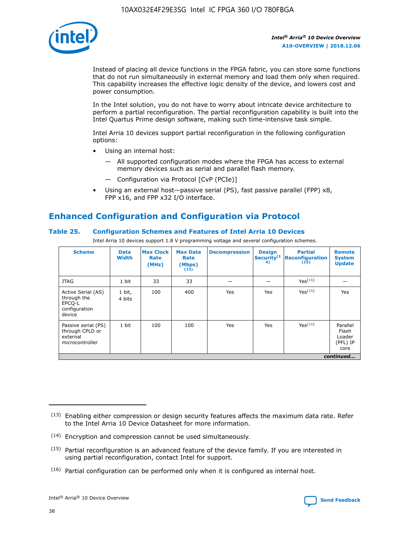

Instead of placing all device functions in the FPGA fabric, you can store some functions that do not run simultaneously in external memory and load them only when required. This capability increases the effective logic density of the device, and lowers cost and power consumption.

In the Intel solution, you do not have to worry about intricate device architecture to perform a partial reconfiguration. The partial reconfiguration capability is built into the Intel Quartus Prime design software, making such time-intensive task simple.

Intel Arria 10 devices support partial reconfiguration in the following configuration options:

- Using an internal host:
	- All supported configuration modes where the FPGA has access to external memory devices such as serial and parallel flash memory.
	- Configuration via Protocol [CvP (PCIe)]
- Using an external host—passive serial (PS), fast passive parallel (FPP) x8, FPP x16, and FPP x32 I/O interface.

# **Enhanced Configuration and Configuration via Protocol**

# **Table 25. Configuration Schemes and Features of Intel Arria 10 Devices**

Intel Arria 10 devices support 1.8 V programming voltage and several configuration schemes.

| <b>Scheme</b>                                                          | <b>Data</b><br><b>Width</b> | <b>Max Clock</b><br>Rate<br>(MHz) | <b>Max Data</b><br>Rate<br>(Mbps)<br>(13) | <b>Decompression</b> | <b>Design</b><br>Security <sup>(1</sup><br>4) | <b>Partial</b><br><b>Reconfiguration</b><br>(15) | <b>Remote</b><br><b>System</b><br><b>Update</b> |
|------------------------------------------------------------------------|-----------------------------|-----------------------------------|-------------------------------------------|----------------------|-----------------------------------------------|--------------------------------------------------|-------------------------------------------------|
| <b>JTAG</b>                                                            | 1 bit                       | 33                                | 33                                        |                      |                                               | Yes(16)                                          |                                                 |
| Active Serial (AS)<br>through the<br>EPCO-L<br>configuration<br>device | 1 bit,<br>4 bits            | 100                               | 400                                       | Yes                  | Yes                                           | $Y_{PS}(16)$                                     | Yes                                             |
| Passive serial (PS)<br>through CPLD or<br>external<br>microcontroller  | 1 bit                       | 100                               | 100                                       | Yes                  | Yes                                           | Yes(16)                                          | Parallel<br>Flash<br>Loader<br>(PFL) IP<br>core |
|                                                                        |                             |                                   |                                           |                      |                                               |                                                  | continued                                       |

<sup>(13)</sup> Enabling either compression or design security features affects the maximum data rate. Refer to the Intel Arria 10 Device Datasheet for more information.

<sup>(14)</sup> Encryption and compression cannot be used simultaneously.

 $<sup>(15)</sup>$  Partial reconfiguration is an advanced feature of the device family. If you are interested in</sup> using partial reconfiguration, contact Intel for support.

 $(16)$  Partial configuration can be performed only when it is configured as internal host.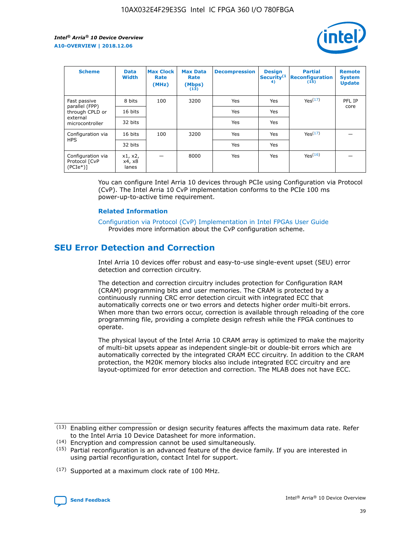

| <b>Scheme</b>                                   | <b>Data</b><br><b>Width</b> | <b>Max Clock</b><br>Rate<br>(MHz) | <b>Max Data</b><br>Rate<br>(Mbps)<br>(13) | <b>Decompression</b> | <b>Design</b><br>Security <sup>(1</sup><br>4) | <b>Partial</b><br><b>Reconfiguration</b><br>(15) | <b>Remote</b><br><b>System</b><br><b>Update</b> |
|-------------------------------------------------|-----------------------------|-----------------------------------|-------------------------------------------|----------------------|-----------------------------------------------|--------------------------------------------------|-------------------------------------------------|
| Fast passive                                    | 8 bits                      | 100                               | 3200                                      | Yes                  | Yes                                           | Yes(17)                                          | PFL IP                                          |
| parallel (FPP)<br>through CPLD or               | 16 bits                     |                                   |                                           | Yes                  | Yes                                           |                                                  | core                                            |
| external<br>microcontroller                     | 32 bits                     |                                   |                                           | Yes                  | Yes                                           |                                                  |                                                 |
| Configuration via                               | 16 bits                     | 100                               | 3200                                      | Yes                  | Yes                                           | Yes <sup>(17)</sup>                              |                                                 |
| <b>HPS</b>                                      | 32 bits                     |                                   |                                           | Yes                  | Yes                                           |                                                  |                                                 |
| Configuration via<br>Protocol [CvP<br>$(PCIe*)$ | x1, x2,<br>x4, x8<br>lanes  |                                   | 8000                                      | Yes                  | Yes                                           | Yes(16)                                          |                                                 |

You can configure Intel Arria 10 devices through PCIe using Configuration via Protocol (CvP). The Intel Arria 10 CvP implementation conforms to the PCIe 100 ms power-up-to-active time requirement.

#### **Related Information**

[Configuration via Protocol \(CvP\) Implementation in Intel FPGAs User Guide](https://www.intel.com/content/www/us/en/programmable/documentation/dsu1441819344145.html#dsu1442269728522) Provides more information about the CvP configuration scheme.

# **SEU Error Detection and Correction**

Intel Arria 10 devices offer robust and easy-to-use single-event upset (SEU) error detection and correction circuitry.

The detection and correction circuitry includes protection for Configuration RAM (CRAM) programming bits and user memories. The CRAM is protected by a continuously running CRC error detection circuit with integrated ECC that automatically corrects one or two errors and detects higher order multi-bit errors. When more than two errors occur, correction is available through reloading of the core programming file, providing a complete design refresh while the FPGA continues to operate.

The physical layout of the Intel Arria 10 CRAM array is optimized to make the majority of multi-bit upsets appear as independent single-bit or double-bit errors which are automatically corrected by the integrated CRAM ECC circuitry. In addition to the CRAM protection, the M20K memory blocks also include integrated ECC circuitry and are layout-optimized for error detection and correction. The MLAB does not have ECC.

(14) Encryption and compression cannot be used simultaneously.

<sup>(17)</sup> Supported at a maximum clock rate of 100 MHz.



 $(13)$  Enabling either compression or design security features affects the maximum data rate. Refer to the Intel Arria 10 Device Datasheet for more information.

 $(15)$  Partial reconfiguration is an advanced feature of the device family. If you are interested in using partial reconfiguration, contact Intel for support.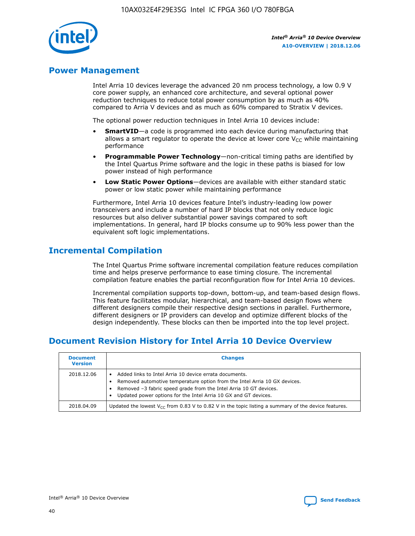

# **Power Management**

Intel Arria 10 devices leverage the advanced 20 nm process technology, a low 0.9 V core power supply, an enhanced core architecture, and several optional power reduction techniques to reduce total power consumption by as much as 40% compared to Arria V devices and as much as 60% compared to Stratix V devices.

The optional power reduction techniques in Intel Arria 10 devices include:

- **SmartVID**—a code is programmed into each device during manufacturing that allows a smart regulator to operate the device at lower core  $V_{CC}$  while maintaining performance
- **Programmable Power Technology**—non-critical timing paths are identified by the Intel Quartus Prime software and the logic in these paths is biased for low power instead of high performance
- **Low Static Power Options**—devices are available with either standard static power or low static power while maintaining performance

Furthermore, Intel Arria 10 devices feature Intel's industry-leading low power transceivers and include a number of hard IP blocks that not only reduce logic resources but also deliver substantial power savings compared to soft implementations. In general, hard IP blocks consume up to 90% less power than the equivalent soft logic implementations.

# **Incremental Compilation**

The Intel Quartus Prime software incremental compilation feature reduces compilation time and helps preserve performance to ease timing closure. The incremental compilation feature enables the partial reconfiguration flow for Intel Arria 10 devices.

Incremental compilation supports top-down, bottom-up, and team-based design flows. This feature facilitates modular, hierarchical, and team-based design flows where different designers compile their respective design sections in parallel. Furthermore, different designers or IP providers can develop and optimize different blocks of the design independently. These blocks can then be imported into the top level project.

# **Document Revision History for Intel Arria 10 Device Overview**

| <b>Document</b><br><b>Version</b> | <b>Changes</b>                                                                                                                                                                                                                                                              |
|-----------------------------------|-----------------------------------------------------------------------------------------------------------------------------------------------------------------------------------------------------------------------------------------------------------------------------|
| 2018.12.06                        | Added links to Intel Arria 10 device errata documents.<br>Removed automotive temperature option from the Intel Arria 10 GX devices.<br>Removed -3 fabric speed grade from the Intel Arria 10 GT devices.<br>Updated power options for the Intel Arria 10 GX and GT devices. |
| 2018.04.09                        | Updated the lowest $V_{CC}$ from 0.83 V to 0.82 V in the topic listing a summary of the device features.                                                                                                                                                                    |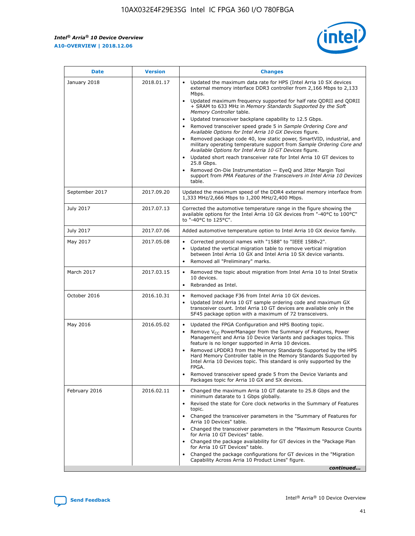$\overline{\phantom{a}}$ 

 $\mathsf{r}$ 



| January 2018<br>Updated the maximum data rate for HPS (Intel Arria 10 SX devices<br>2018.01.17<br>external memory interface DDR3 controller from 2,166 Mbps to 2,133<br>Mbps.<br>$\bullet$<br>+ SRAM to 633 MHz in Memory Standards Supported by the Soft<br>Memory Controller table.<br>Updated transceiver backplane capability to 12.5 Gbps.<br>$\bullet$<br>Removed transceiver speed grade 5 in Sample Ordering Core and<br>Available Options for Intel Arria 10 GX Devices figure.<br>Available Options for Intel Arria 10 GT Devices figure.<br>Updated short reach transceiver rate for Intel Arria 10 GT devices to<br>$\bullet$<br>25.8 Gbps.<br>Removed On-Die Instrumentation - EyeQ and Jitter Margin Tool<br>table.<br>2017.09.20<br>September 2017<br>1,333 MHz/2,666 Mbps to 1,200 MHz/2,400 Mbps.<br>July 2017<br>2017.07.13<br>Corrected the automotive temperature range in the figure showing the<br>available options for the Intel Arria 10 GX devices from "-40°C to 100°C"<br>to "-40°C to 125°C".<br>July 2017<br>2017.07.06<br>Added automotive temperature option to Intel Arria 10 GX device family.<br>2017.05.08<br>Corrected protocol names with "1588" to "IEEE 1588v2".<br>May 2017<br>$\bullet$<br>Updated the vertical migration table to remove vertical migration<br>$\bullet$<br>between Intel Arria 10 GX and Intel Arria 10 SX device variants.<br>Removed all "Preliminary" marks.<br>2017.03.15<br>March 2017<br>Removed the topic about migration from Intel Arria 10 to Intel Stratix<br>10 devices.<br>Rebranded as Intel.<br>$\bullet$<br>October 2016<br>2016.10.31<br>Removed package F36 from Intel Arria 10 GX devices.<br>$\bullet$<br>Updated Intel Arria 10 GT sample ordering code and maximum GX<br>$\bullet$<br>transceiver count. Intel Arria 10 GT devices are available only in the<br>SF45 package option with a maximum of 72 transceivers.<br>May 2016<br>2016.05.02<br>Updated the FPGA Configuration and HPS Booting topic.<br>Remove $V_{CC}$ PowerManager from the Summary of Features, Power<br>Management and Arria 10 Device Variants and packages topics. This<br>feature is no longer supported in Arria 10 devices.<br>Removed LPDDR3 from the Memory Standards Supported by the HPS<br>Hard Memory Controller table in the Memory Standards Supported by<br>Intel Arria 10 Devices topic. This standard is only supported by the<br>FPGA.<br>Removed transceiver speed grade 5 from the Device Variants and<br>Packages topic for Arria 10 GX and SX devices.<br>Changed the maximum Arria 10 GT datarate to 25.8 Gbps and the<br>February 2016<br>2016.02.11<br>minimum datarate to 1 Gbps globally.<br>Revised the state for Core clock networks in the Summary of Features<br>$\bullet$<br>topic.<br>• Changed the transceiver parameters in the "Summary of Features for<br>Arria 10 Devices" table.<br>for Arria 10 GT Devices" table.<br>• Changed the package availability for GT devices in the "Package Plan<br>for Arria 10 GT Devices" table.<br>Changed the package configurations for GT devices in the "Migration"<br>Capability Across Arria 10 Product Lines" figure. | <b>Date</b> | <b>Version</b> | <b>Changes</b>                                                                                                                                                                                                                                                                               |
|----------------------------------------------------------------------------------------------------------------------------------------------------------------------------------------------------------------------------------------------------------------------------------------------------------------------------------------------------------------------------------------------------------------------------------------------------------------------------------------------------------------------------------------------------------------------------------------------------------------------------------------------------------------------------------------------------------------------------------------------------------------------------------------------------------------------------------------------------------------------------------------------------------------------------------------------------------------------------------------------------------------------------------------------------------------------------------------------------------------------------------------------------------------------------------------------------------------------------------------------------------------------------------------------------------------------------------------------------------------------------------------------------------------------------------------------------------------------------------------------------------------------------------------------------------------------------------------------------------------------------------------------------------------------------------------------------------------------------------------------------------------------------------------------------------------------------------------------------------------------------------------------------------------------------------------------------------------------------------------------------------------------------------------------------------------------------------------------------------------------------------------------------------------------------------------------------------------------------------------------------------------------------------------------------------------------------------------------------------------------------------------------------------------------------------------------------------------------------------------------------------------------------------------------------------------------------------------------------------------------------------------------------------------------------------------------------------------------------------------------------------------------------------------------------------------------------------------------------------------------------------------------------------------------------------------------------------------------------------------------------------------------------------------------------------------------------------------------------------------------------------------------------------------|-------------|----------------|----------------------------------------------------------------------------------------------------------------------------------------------------------------------------------------------------------------------------------------------------------------------------------------------|
|                                                                                                                                                                                                                                                                                                                                                                                                                                                                                                                                                                                                                                                                                                                                                                                                                                                                                                                                                                                                                                                                                                                                                                                                                                                                                                                                                                                                                                                                                                                                                                                                                                                                                                                                                                                                                                                                                                                                                                                                                                                                                                                                                                                                                                                                                                                                                                                                                                                                                                                                                                                                                                                                                                                                                                                                                                                                                                                                                                                                                                                                                                                                                                |             |                | Updated maximum frequency supported for half rate QDRII and QDRII<br>Removed package code 40, low static power, SmartVID, industrial, and<br>military operating temperature support from Sample Ordering Core and<br>support from PMA Features of the Transceivers in Intel Arria 10 Devices |
|                                                                                                                                                                                                                                                                                                                                                                                                                                                                                                                                                                                                                                                                                                                                                                                                                                                                                                                                                                                                                                                                                                                                                                                                                                                                                                                                                                                                                                                                                                                                                                                                                                                                                                                                                                                                                                                                                                                                                                                                                                                                                                                                                                                                                                                                                                                                                                                                                                                                                                                                                                                                                                                                                                                                                                                                                                                                                                                                                                                                                                                                                                                                                                |             |                | Updated the maximum speed of the DDR4 external memory interface from                                                                                                                                                                                                                         |
|                                                                                                                                                                                                                                                                                                                                                                                                                                                                                                                                                                                                                                                                                                                                                                                                                                                                                                                                                                                                                                                                                                                                                                                                                                                                                                                                                                                                                                                                                                                                                                                                                                                                                                                                                                                                                                                                                                                                                                                                                                                                                                                                                                                                                                                                                                                                                                                                                                                                                                                                                                                                                                                                                                                                                                                                                                                                                                                                                                                                                                                                                                                                                                |             |                |                                                                                                                                                                                                                                                                                              |
|                                                                                                                                                                                                                                                                                                                                                                                                                                                                                                                                                                                                                                                                                                                                                                                                                                                                                                                                                                                                                                                                                                                                                                                                                                                                                                                                                                                                                                                                                                                                                                                                                                                                                                                                                                                                                                                                                                                                                                                                                                                                                                                                                                                                                                                                                                                                                                                                                                                                                                                                                                                                                                                                                                                                                                                                                                                                                                                                                                                                                                                                                                                                                                |             |                |                                                                                                                                                                                                                                                                                              |
|                                                                                                                                                                                                                                                                                                                                                                                                                                                                                                                                                                                                                                                                                                                                                                                                                                                                                                                                                                                                                                                                                                                                                                                                                                                                                                                                                                                                                                                                                                                                                                                                                                                                                                                                                                                                                                                                                                                                                                                                                                                                                                                                                                                                                                                                                                                                                                                                                                                                                                                                                                                                                                                                                                                                                                                                                                                                                                                                                                                                                                                                                                                                                                |             |                |                                                                                                                                                                                                                                                                                              |
|                                                                                                                                                                                                                                                                                                                                                                                                                                                                                                                                                                                                                                                                                                                                                                                                                                                                                                                                                                                                                                                                                                                                                                                                                                                                                                                                                                                                                                                                                                                                                                                                                                                                                                                                                                                                                                                                                                                                                                                                                                                                                                                                                                                                                                                                                                                                                                                                                                                                                                                                                                                                                                                                                                                                                                                                                                                                                                                                                                                                                                                                                                                                                                |             |                |                                                                                                                                                                                                                                                                                              |
|                                                                                                                                                                                                                                                                                                                                                                                                                                                                                                                                                                                                                                                                                                                                                                                                                                                                                                                                                                                                                                                                                                                                                                                                                                                                                                                                                                                                                                                                                                                                                                                                                                                                                                                                                                                                                                                                                                                                                                                                                                                                                                                                                                                                                                                                                                                                                                                                                                                                                                                                                                                                                                                                                                                                                                                                                                                                                                                                                                                                                                                                                                                                                                |             |                |                                                                                                                                                                                                                                                                                              |
|                                                                                                                                                                                                                                                                                                                                                                                                                                                                                                                                                                                                                                                                                                                                                                                                                                                                                                                                                                                                                                                                                                                                                                                                                                                                                                                                                                                                                                                                                                                                                                                                                                                                                                                                                                                                                                                                                                                                                                                                                                                                                                                                                                                                                                                                                                                                                                                                                                                                                                                                                                                                                                                                                                                                                                                                                                                                                                                                                                                                                                                                                                                                                                |             |                |                                                                                                                                                                                                                                                                                              |
|                                                                                                                                                                                                                                                                                                                                                                                                                                                                                                                                                                                                                                                                                                                                                                                                                                                                                                                                                                                                                                                                                                                                                                                                                                                                                                                                                                                                                                                                                                                                                                                                                                                                                                                                                                                                                                                                                                                                                                                                                                                                                                                                                                                                                                                                                                                                                                                                                                                                                                                                                                                                                                                                                                                                                                                                                                                                                                                                                                                                                                                                                                                                                                |             |                | Changed the transceiver parameters in the "Maximum Resource Counts"<br>continued                                                                                                                                                                                                             |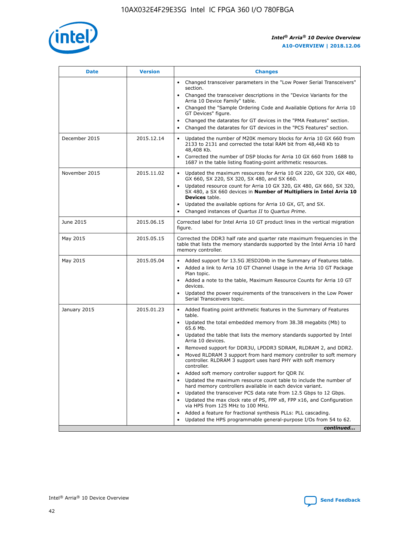

| <b>Date</b>   | <b>Version</b> | <b>Changes</b>                                                                                                                                                                   |
|---------------|----------------|----------------------------------------------------------------------------------------------------------------------------------------------------------------------------------|
|               |                | • Changed transceiver parameters in the "Low Power Serial Transceivers"<br>section.                                                                                              |
|               |                | • Changed the transceiver descriptions in the "Device Variants for the<br>Arria 10 Device Family" table.                                                                         |
|               |                | Changed the "Sample Ordering Code and Available Options for Arria 10<br>GT Devices" figure.                                                                                      |
|               |                | Changed the datarates for GT devices in the "PMA Features" section.                                                                                                              |
|               |                | Changed the datarates for GT devices in the "PCS Features" section.<br>$\bullet$                                                                                                 |
| December 2015 | 2015.12.14     | Updated the number of M20K memory blocks for Arria 10 GX 660 from<br>$\bullet$<br>2133 to 2131 and corrected the total RAM bit from 48,448 Kb to<br>48,408 Kb.                   |
|               |                | Corrected the number of DSP blocks for Arria 10 GX 660 from 1688 to<br>$\bullet$<br>1687 in the table listing floating-point arithmetic resources.                               |
| November 2015 | 2015.11.02     | Updated the maximum resources for Arria 10 GX 220, GX 320, GX 480,<br>$\bullet$<br>GX 660, SX 220, SX 320, SX 480, and SX 660.                                                   |
|               |                | Updated resource count for Arria 10 GX 320, GX 480, GX 660, SX 320,<br>$\bullet$<br>SX 480, a SX 660 devices in Number of Multipliers in Intel Arria 10<br><b>Devices</b> table. |
|               |                | Updated the available options for Arria 10 GX, GT, and SX.<br>$\bullet$                                                                                                          |
|               |                | Changed instances of Quartus II to Quartus Prime.<br>$\bullet$                                                                                                                   |
| June 2015     | 2015.06.15     | Corrected label for Intel Arria 10 GT product lines in the vertical migration<br>figure.                                                                                         |
| May 2015      | 2015.05.15     | Corrected the DDR3 half rate and quarter rate maximum frequencies in the<br>table that lists the memory standards supported by the Intel Arria 10 hard<br>memory controller.     |
| May 2015      | 2015.05.04     | • Added support for 13.5G JESD204b in the Summary of Features table.<br>• Added a link to Arria 10 GT Channel Usage in the Arria 10 GT Package<br>Plan topic.                    |
|               |                | • Added a note to the table, Maximum Resource Counts for Arria 10 GT<br>devices.                                                                                                 |
|               |                | Updated the power requirements of the transceivers in the Low Power<br>Serial Transceivers topic.                                                                                |
| January 2015  | 2015.01.23     | • Added floating point arithmetic features in the Summary of Features<br>table.                                                                                                  |
|               |                | • Updated the total embedded memory from 38.38 megabits (Mb) to<br>65.6 Mb.                                                                                                      |
|               |                | • Updated the table that lists the memory standards supported by Intel<br>Arria 10 devices.                                                                                      |
|               |                | Removed support for DDR3U, LPDDR3 SDRAM, RLDRAM 2, and DDR2.                                                                                                                     |
|               |                | Moved RLDRAM 3 support from hard memory controller to soft memory<br>controller. RLDRAM 3 support uses hard PHY with soft memory<br>controller.                                  |
|               |                | Added soft memory controller support for QDR IV.                                                                                                                                 |
|               |                | Updated the maximum resource count table to include the number of<br>hard memory controllers available in each device variant.                                                   |
|               |                | Updated the transceiver PCS data rate from 12.5 Gbps to 12 Gbps.<br>$\bullet$                                                                                                    |
|               |                | Updated the max clock rate of PS, FPP x8, FPP x16, and Configuration<br>via HPS from 125 MHz to 100 MHz.                                                                         |
|               |                | Added a feature for fractional synthesis PLLs: PLL cascading.                                                                                                                    |
|               |                | Updated the HPS programmable general-purpose I/Os from 54 to 62.                                                                                                                 |
|               |                | continued                                                                                                                                                                        |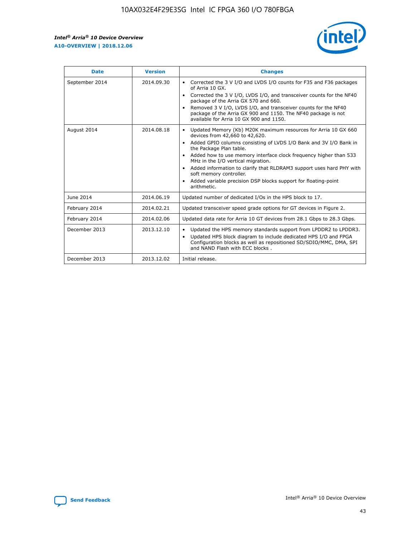r



| <b>Date</b>    | <b>Version</b> | <b>Changes</b>                                                                                                                                                                                                                                                                                                                                                                                                                                                                                                                         |
|----------------|----------------|----------------------------------------------------------------------------------------------------------------------------------------------------------------------------------------------------------------------------------------------------------------------------------------------------------------------------------------------------------------------------------------------------------------------------------------------------------------------------------------------------------------------------------------|
| September 2014 | 2014.09.30     | Corrected the 3 V I/O and LVDS I/O counts for F35 and F36 packages<br>of Arria 10 GX.<br>Corrected the 3 V I/O, LVDS I/O, and transceiver counts for the NF40<br>$\bullet$<br>package of the Arria GX 570 and 660.<br>Removed 3 V I/O, LVDS I/O, and transceiver counts for the NF40<br>package of the Arria GX 900 and 1150. The NF40 package is not<br>available for Arria 10 GX 900 and 1150.                                                                                                                                       |
| August 2014    | 2014.08.18     | Updated Memory (Kb) M20K maximum resources for Arria 10 GX 660<br>devices from 42,660 to 42,620.<br>Added GPIO columns consisting of LVDS I/O Bank and 3V I/O Bank in<br>$\bullet$<br>the Package Plan table.<br>Added how to use memory interface clock frequency higher than 533<br>$\bullet$<br>MHz in the I/O vertical migration.<br>Added information to clarify that RLDRAM3 support uses hard PHY with<br>$\bullet$<br>soft memory controller.<br>Added variable precision DSP blocks support for floating-point<br>arithmetic. |
| June 2014      | 2014.06.19     | Updated number of dedicated I/Os in the HPS block to 17.                                                                                                                                                                                                                                                                                                                                                                                                                                                                               |
| February 2014  | 2014.02.21     | Updated transceiver speed grade options for GT devices in Figure 2.                                                                                                                                                                                                                                                                                                                                                                                                                                                                    |
| February 2014  | 2014.02.06     | Updated data rate for Arria 10 GT devices from 28.1 Gbps to 28.3 Gbps.                                                                                                                                                                                                                                                                                                                                                                                                                                                                 |
| December 2013  | 2013.12.10     | Updated the HPS memory standards support from LPDDR2 to LPDDR3.<br>Updated HPS block diagram to include dedicated HPS I/O and FPGA<br>$\bullet$<br>Configuration blocks as well as repositioned SD/SDIO/MMC, DMA, SPI<br>and NAND Flash with ECC blocks.                                                                                                                                                                                                                                                                               |
| December 2013  | 2013.12.02     | Initial release.                                                                                                                                                                                                                                                                                                                                                                                                                                                                                                                       |